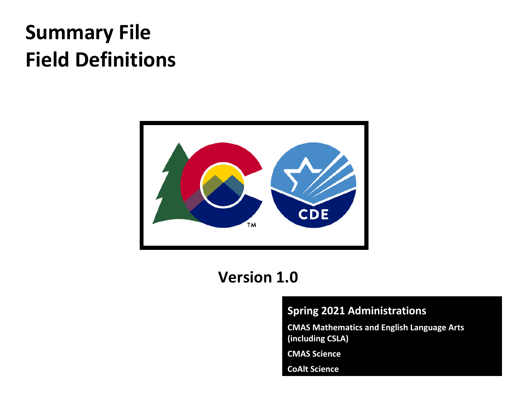# **Summary File Field Definitions**



# **Version 1.0**

### **Spring 2021 Administrations**

**CMAS Mathematics and English Language Arts (including CSLA)**

**CMAS Science** 

**CoAlt Science**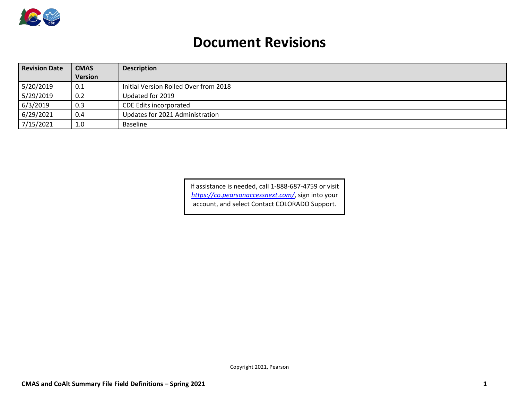

## **Document Revisions**

| <b>Revision Date</b> | <b>CMAS</b>    | <b>Description</b>                    |  |  |  |
|----------------------|----------------|---------------------------------------|--|--|--|
|                      | <b>Version</b> |                                       |  |  |  |
| 5/20/2019            | 0.1            | Initial Version Rolled Over from 2018 |  |  |  |
| 5/29/2019            | 0.2            | Updated for 2019                      |  |  |  |
| 6/3/2019             | 0.3            | CDE Edits incorporated                |  |  |  |
| 6/29/2021            | 0.4            | Updates for 2021 Administration       |  |  |  |
| 7/15/2021            | 1.0            | <b>Baseline</b>                       |  |  |  |

If assistance is needed, call 1-888-687-4759 or visit *<https://co.pearsonaccessnext.com/>*, sign into your account, and select Contact COLORADO Support.

Copyright 2021, Pearson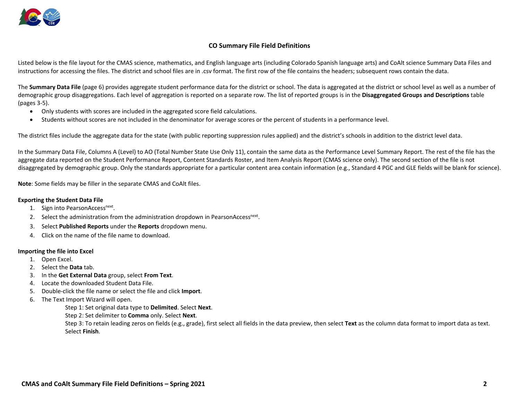

#### **CO Summary File Field Definitions**

Listed below is the file layout for the CMAS science, mathematics, and English language arts (including Colorado Spanish language arts) and CoAlt science Summary Data Files and instructions for accessing the files. The district and school files are in .csv format. The first row of the file contains the headers; subsequent rows contain the data.

The **Summary Data File** (page 6) provides aggregate student performance data for the district or school. The data is aggregated at the district or school level as well as a number of demographic group disaggregations. Each level of aggregation is reported on a separate row. The list of reported groups is in the **Disaggregated Groups and Descriptions** table (pages 3-5).

- Only students with scores are included in the aggregated score field calculations.
- Students without scores are not included in the denominator for average scores or the percent of students in a performance level.

The district files include the aggregate data for the state (with public reporting suppression rules applied) and the district's schools in addition to the district level data.

In the Summary Data File, Columns A (Level) to AO (Total Number State Use Only 11), contain the same data as the Performance Level Summary Report. The rest of the file has the aggregate data reported on the Student Performance Report, Content Standards Roster, and Item Analysis Report (CMAS science only). The second section of the file is not disaggregated by demographic group. Only the standards appropriate for a particular content area contain information (e.g., Standard 4 PGC and GLE fields will be blank for science).

**Note**: Some fields may be filler in the separate CMAS and CoAlt files.

#### **Exporting the Student Data File**

- 1. Sign into PearsonAccess<sup>next</sup>.
- 2. Select the administration from the administration dropdown in PearsonAccess<sup>next</sup>.
- 3. Select **Published Reports** under the **Reports** dropdown menu.
- 4. Click on the name of the file name to download.

#### **Importing the file into Excel**

- 1. Open Excel.
- 2. Select the **Data** tab.
- 3. In the **Get External Data** group, select **From Text**.
- 4. Locate the downloaded Student Data File.
- 5. Double-click the file name or select the file and click **Import**.
- 6. The Text Import Wizard will open.

Step 1: Set original data type to **Delimited**. Select **Next**.

Step 2: Set delimiter to **Comma** only. Select **Next**.

Step 3: To retain leading zeros on fields (e.g., grade), first select all fields in the data preview, then select **Text** as the column data format to import data as text. Select **Finish**.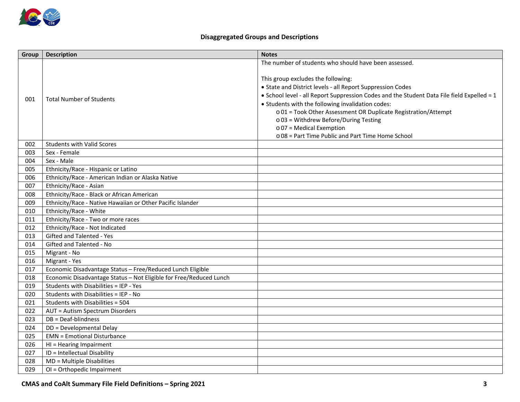

#### **Disaggregated Groups and Descriptions**

| Group | <b>Description</b>                                                 | <b>Notes</b>                                                                               |
|-------|--------------------------------------------------------------------|--------------------------------------------------------------------------------------------|
|       |                                                                    | The number of students who should have been assessed.                                      |
|       |                                                                    |                                                                                            |
|       |                                                                    | This group excludes the following:                                                         |
|       |                                                                    | • State and District levels - all Report Suppression Codes                                 |
| 001   | <b>Total Number of Students</b>                                    | • School level - all Report Suppression Codes and the Student Data File field Expelled = 1 |
|       |                                                                    | • Students with the following invalidation codes:                                          |
|       |                                                                    | o 01 = Took Other Assessment OR Duplicate Registration/Attempt                             |
|       |                                                                    | $\circ$ 03 = Withdrew Before/During Testing                                                |
|       |                                                                    | o 07 = Medical Exemption                                                                   |
|       |                                                                    | o 08 = Part Time Public and Part Time Home School                                          |
| 002   | <b>Students with Valid Scores</b>                                  |                                                                                            |
| 003   | Sex - Female                                                       |                                                                                            |
| 004   | Sex - Male                                                         |                                                                                            |
| 005   | Ethnicity/Race - Hispanic or Latino                                |                                                                                            |
| 006   | Ethnicity/Race - American Indian or Alaska Native                  |                                                                                            |
| 007   | Ethnicity/Race - Asian                                             |                                                                                            |
| 008   | Ethnicity/Race - Black or African American                         |                                                                                            |
| 009   | Ethnicity/Race - Native Hawaiian or Other Pacific Islander         |                                                                                            |
| 010   | Ethnicity/Race - White                                             |                                                                                            |
| 011   | Ethnicity/Race - Two or more races                                 |                                                                                            |
| 012   | Ethnicity/Race - Not Indicated                                     |                                                                                            |
| 013   | Gifted and Talented - Yes                                          |                                                                                            |
| 014   | Gifted and Talented - No                                           |                                                                                            |
| 015   | Migrant - No                                                       |                                                                                            |
| 016   | Migrant - Yes                                                      |                                                                                            |
| 017   | Economic Disadvantage Status - Free/Reduced Lunch Eligible         |                                                                                            |
| 018   | Economic Disadvantage Status - Not Eligible for Free/Reduced Lunch |                                                                                            |
| 019   | Students with Disabilities = IEP - Yes                             |                                                                                            |
| 020   | Students with Disabilities = IEP - No                              |                                                                                            |
| 021   | Students with Disabilities = 504                                   |                                                                                            |
| 022   | <b>AUT = Autism Spectrum Disorders</b>                             |                                                                                            |
| 023   | DB = Deaf-blindness                                                |                                                                                            |
| 024   | DD = Developmental Delay                                           |                                                                                            |
| 025   | <b>EMN = Emotional Disturbance</b>                                 |                                                                                            |
| 026   | HI = Hearing Impairment                                            |                                                                                            |
| 027   | $\overline{ID}$ = Intellectual Disability                          |                                                                                            |
| 028   | MD = Multiple Disabilities                                         |                                                                                            |
| 029   | OI = Orthopedic Impairment                                         |                                                                                            |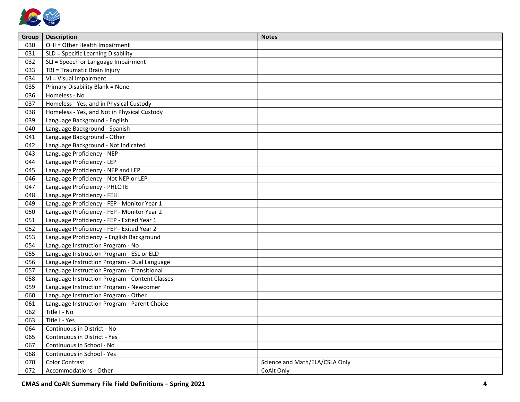

| Group | <b>Description</b>                             | <b>Notes</b>                   |
|-------|------------------------------------------------|--------------------------------|
| 030   | OHI = Other Health Impairment                  |                                |
| 031   | SLD = Specific Learning Disability             |                                |
| 032   | SLI = Speech or Language Impairment            |                                |
| 033   | TBI = Traumatic Brain Injury                   |                                |
| 034   | VI = Visual Impairment                         |                                |
| 035   | Primary Disability Blank = None                |                                |
| 036   | Homeless - No                                  |                                |
| 037   | Homeless - Yes, and in Physical Custody        |                                |
| 038   | Homeless - Yes, and Not in Physical Custody    |                                |
| 039   | Language Background - English                  |                                |
| 040   | Language Background - Spanish                  |                                |
| 041   | Language Background - Other                    |                                |
| 042   | Language Background - Not Indicated            |                                |
| 043   | Language Proficiency - NEP                     |                                |
| 044   | Language Proficiency - LEP                     |                                |
| 045   | Language Proficiency - NEP and LEP             |                                |
| 046   | Language Proficiency - Not NEP or LEP          |                                |
| 047   | Language Proficiency - PHLOTE                  |                                |
| 048   | Language Proficiency - FELL                    |                                |
| 049   | Language Proficiency - FEP - Monitor Year 1    |                                |
| 050   | Language Proficiency - FEP - Monitor Year 2    |                                |
| 051   | Language Proficiency - FEP - Exited Year 1     |                                |
| 052   | Language Proficiency - FEP - Exited Year 2     |                                |
| 053   | Language Proficiency - English Background      |                                |
| 054   | Language Instruction Program - No              |                                |
| 055   | Language Instruction Program - ESL or ELD      |                                |
| 056   | Language Instruction Program - Dual Language   |                                |
| 057   | Language Instruction Program - Transitional    |                                |
| 058   | Language Instruction Program - Content Classes |                                |
| 059   | Language Instruction Program - Newcomer        |                                |
| 060   | Language Instruction Program - Other           |                                |
| 061   | Language Instruction Program - Parent Choice   |                                |
| 062   | Title I - No                                   |                                |
| 063   | Title I - Yes                                  |                                |
| 064   | Continuous in District - No                    |                                |
| 065   | Continuous in District - Yes                   |                                |
| 067   | Continuous in School - No                      |                                |
| 068   | Continuous in School - Yes                     |                                |
| 070   | <b>Color Contrast</b>                          | Science and Math/ELA/CSLA Only |
| 072   | Accommodations - Other                         | CoAlt Only                     |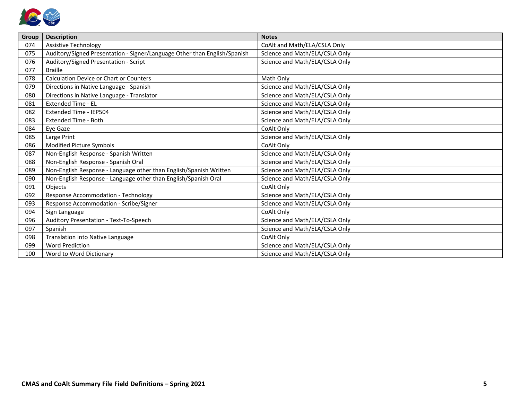

| Group | <b>Description</b>                                                        | <b>Notes</b>                   |
|-------|---------------------------------------------------------------------------|--------------------------------|
| 074   | <b>Assistive Technology</b>                                               | CoAlt and Math/ELA/CSLA Only   |
| 075   | Auditory/Signed Presentation - Signer/Language Other than English/Spanish | Science and Math/ELA/CSLA Only |
| 076   | Auditory/Signed Presentation - Script                                     | Science and Math/ELA/CSLA Only |
| 077   | <b>Braille</b>                                                            |                                |
| 078   | <b>Calculation Device or Chart or Counters</b>                            | Math Only                      |
| 079   | Directions in Native Language - Spanish                                   | Science and Math/ELA/CSLA Only |
| 080   | Directions in Native Language - Translator                                | Science and Math/ELA/CSLA Only |
| 081   | <b>Extended Time - EL</b>                                                 | Science and Math/ELA/CSLA Only |
| 082   | Extended Time - IEP504                                                    | Science and Math/ELA/CSLA Only |
| 083   | <b>Extended Time - Both</b>                                               | Science and Math/ELA/CSLA Only |
| 084   | Eye Gaze                                                                  | CoAlt Only                     |
| 085   | Large Print                                                               | Science and Math/ELA/CSLA Only |
| 086   | Modified Picture Symbols                                                  | CoAlt Only                     |
| 087   | Non-English Response - Spanish Written                                    | Science and Math/ELA/CSLA Only |
| 088   | Non-English Response - Spanish Oral                                       | Science and Math/ELA/CSLA Only |
| 089   | Non-English Response - Language other than English/Spanish Written        | Science and Math/ELA/CSLA Only |
| 090   | Non-English Response - Language other than English/Spanish Oral           | Science and Math/ELA/CSLA Only |
| 091   | Objects                                                                   | CoAlt Only                     |
| 092   | <b>Response Accommodation - Technology</b>                                | Science and Math/ELA/CSLA Only |
| 093   | Response Accommodation - Scribe/Signer                                    | Science and Math/ELA/CSLA Only |
| 094   | Sign Language                                                             | CoAlt Only                     |
| 096   | Auditory Presentation - Text-To-Speech                                    | Science and Math/ELA/CSLA Only |
| 097   | Spanish                                                                   | Science and Math/ELA/CSLA Only |
| 098   | Translation into Native Language                                          | CoAlt Only                     |
| 099   | <b>Word Prediction</b>                                                    | Science and Math/ELA/CSLA Only |
| 100   | Word to Word Dictionary                                                   | Science and Math/ELA/CSLA Only |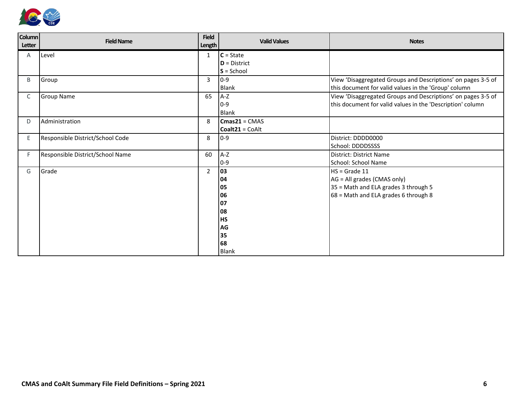

| <b>Column</b><br>Letter | <b>Field Name</b>                | <b>Field</b><br><b>Length</b> | <b>Valid Values</b> | <b>Notes</b>                                                 |
|-------------------------|----------------------------------|-------------------------------|---------------------|--------------------------------------------------------------|
| A                       | Level                            | 1                             | $C = State$         |                                                              |
|                         |                                  |                               | $D = District$      |                                                              |
|                         |                                  |                               | $S =$ School        |                                                              |
| B                       | Group                            | 3                             | $0-9$               | View 'Disaggregated Groups and Descriptions' on pages 3-5 of |
|                         |                                  |                               | <b>Blank</b>        | this document for valid values in the 'Group' column         |
| C                       | <b>Group Name</b>                | 65                            | $A-Z$               | View 'Disaggregated Groups and Descriptions' on pages 3-5 of |
|                         |                                  |                               | $0-9$               | this document for valid values in the 'Description' column   |
|                         |                                  |                               | <b>Blank</b>        |                                                              |
| D                       | Administration                   | 8                             | $Cmas21 = CMAS$     |                                                              |
|                         |                                  |                               | $Coalt21 = CoAlt$   |                                                              |
| Ε                       | Responsible District/School Code | 8                             | $0-9$               | District: DDDD0000                                           |
|                         |                                  |                               |                     | School: DDDDSSSS                                             |
| F.                      | Responsible District/School Name | 60                            | $A-Z$               | District: District Name                                      |
|                         |                                  |                               | $0 - 9$             | School: School Name                                          |
| G                       | Grade                            | $\overline{2}$                | 03                  | $HS = Grade 11$                                              |
|                         |                                  |                               | 04                  | AG = All grades (CMAS only)                                  |
|                         |                                  |                               | 05                  | 35 = Math and ELA grades 3 through 5                         |
|                         |                                  |                               | 06                  | 68 = Math and ELA grades 6 through 8                         |
|                         |                                  |                               | 07                  |                                                              |
|                         |                                  |                               | 08                  |                                                              |
|                         |                                  |                               | <b>HS</b>           |                                                              |
|                         |                                  |                               | AG                  |                                                              |
|                         |                                  |                               | 35                  |                                                              |
|                         |                                  |                               | 68                  |                                                              |
|                         |                                  |                               | <b>Blank</b>        |                                                              |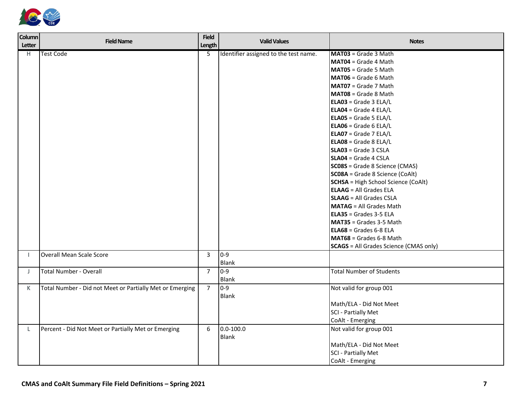

| <b>Column</b><br>Letter | <b>Field Name</b>                                        | <b>Field</b><br>Length | <b>Valid Values</b>                   | <b>Notes</b>                                  |
|-------------------------|----------------------------------------------------------|------------------------|---------------------------------------|-----------------------------------------------|
| H.                      | <b>Test Code</b>                                         | 5                      | Identifier assigned to the test name. | MAT03 = Grade 3 Math                          |
|                         |                                                          |                        |                                       | MAT04 = Grade 4 Math                          |
|                         |                                                          |                        |                                       | <b>MAT05</b> = Grade 5 Math                   |
|                         |                                                          |                        |                                       | MAT06 = Grade 6 Math                          |
|                         |                                                          |                        |                                       | MAT07 = Grade 7 Math                          |
|                         |                                                          |                        |                                       | MAT08 = Grade 8 Math                          |
|                         |                                                          |                        |                                       | $ELAO3 = Grade 3 ELA/L$                       |
|                         |                                                          |                        |                                       | ELA04 = Grade 4 ELA/L                         |
|                         |                                                          |                        |                                       | ELA05 = Grade 5 ELA/L                         |
|                         |                                                          |                        |                                       | $ELAO6 = Grade 6 ELA/L$                       |
|                         |                                                          |                        |                                       | ELA07 = Grade 7 ELA/L                         |
|                         |                                                          |                        |                                       | ELA08 = Grade 8 ELA/L                         |
|                         |                                                          |                        |                                       | <b>SLA03</b> = Grade 3 CSLA                   |
|                         |                                                          |                        |                                       | SLA04 = Grade 4 CSLA                          |
|                         |                                                          |                        |                                       | SC08S = Grade 8 Science (CMAS)                |
|                         |                                                          |                        |                                       | SC08A = Grade 8 Science (CoAlt)               |
|                         |                                                          |                        |                                       | <b>SCHSA</b> = High School Science (CoAlt)    |
|                         |                                                          |                        |                                       | <b>ELAAG</b> = All Grades ELA                 |
|                         |                                                          |                        |                                       | <b>SLAAG</b> = All Grades CSLA                |
|                         |                                                          |                        |                                       | <b>MATAG</b> = All Grades Math                |
|                         |                                                          |                        |                                       | $ELA35 = Grades 3-5 ELA$                      |
|                         |                                                          |                        |                                       | <b>MAT35</b> = Grades 3-5 Math                |
|                         |                                                          |                        |                                       | $ELA68 = Grades 6-8 ELA$                      |
|                         |                                                          |                        |                                       | MAT68 = Grades 6-8 Math                       |
|                         |                                                          |                        |                                       | <b>SCAGS</b> = All Grades Science (CMAS only) |
|                         | <b>Overall Mean Scale Score</b>                          | $\overline{3}$         | $0-9$                                 |                                               |
|                         |                                                          |                        | Blank                                 |                                               |
| $\perp$                 | <b>Total Number - Overall</b>                            | $\overline{7}$         | $0-9$                                 | <b>Total Number of Students</b>               |
|                         |                                                          |                        | <b>Blank</b>                          |                                               |
| K                       | Total Number - Did not Meet or Partially Met or Emerging | $\overline{7}$         | $0 - 9$                               | Not valid for group 001                       |
|                         |                                                          |                        | <b>Blank</b>                          |                                               |
|                         |                                                          |                        |                                       | Math/ELA - Did Not Meet                       |
|                         |                                                          |                        |                                       | SCI - Partially Met                           |
|                         |                                                          |                        |                                       | CoAlt - Emerging                              |
| L                       | Percent - Did Not Meet or Partially Met or Emerging      | 6                      | $0.0 - 100.0$                         | Not valid for group 001                       |
|                         |                                                          |                        | Blank                                 |                                               |
|                         |                                                          |                        |                                       | Math/ELA - Did Not Meet                       |
|                         |                                                          |                        |                                       | SCI - Partially Met                           |
|                         |                                                          |                        |                                       | CoAlt - Emerging                              |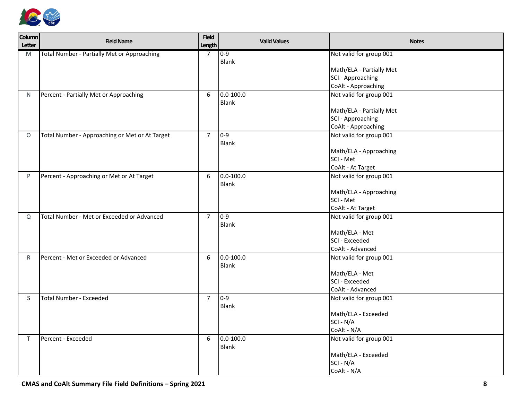

| <b>Column</b><br>Letter | <b>Field Name</b>                                  | <b>Field</b><br>Length | <b>Valid Values</b> | <b>Notes</b>                             |
|-------------------------|----------------------------------------------------|------------------------|---------------------|------------------------------------------|
| M                       | <b>Total Number - Partially Met or Approaching</b> | $\overline{7}$         | $0 - 9$             | Not valid for group 001                  |
|                         |                                                    |                        | Blank               |                                          |
|                         |                                                    |                        |                     | Math/ELA - Partially Met                 |
|                         |                                                    |                        |                     | SCI - Approaching<br>CoAlt - Approaching |
|                         |                                                    | 6                      | $0.0 - 100.0$       | Not valid for group 001                  |
| N                       | Percent - Partially Met or Approaching             |                        | <b>Blank</b>        |                                          |
|                         |                                                    |                        |                     | Math/ELA - Partially Met                 |
|                         |                                                    |                        |                     | SCI - Approaching                        |
|                         |                                                    |                        |                     | CoAlt - Approaching                      |
| $\circ$                 | Total Number - Approaching or Met or At Target     | $\overline{7}$         | $0 - 9$             | Not valid for group 001                  |
|                         |                                                    |                        | <b>Blank</b>        |                                          |
|                         |                                                    |                        |                     | Math/ELA - Approaching                   |
|                         |                                                    |                        |                     | SCI - Met                                |
|                         |                                                    |                        |                     | CoAlt - At Target                        |
| P                       | Percent - Approaching or Met or At Target          | 6                      | $0.0 - 100.0$       | Not valid for group 001                  |
|                         |                                                    |                        | <b>Blank</b>        |                                          |
|                         |                                                    |                        |                     | Math/ELA - Approaching                   |
|                         |                                                    |                        |                     | SCI - Met                                |
|                         |                                                    |                        |                     | CoAlt - At Target                        |
| Q                       | Total Number - Met or Exceeded or Advanced         | $\overline{7}$         | $0 - 9$             | Not valid for group 001                  |
|                         |                                                    |                        | <b>Blank</b>        | Math/ELA - Met                           |
|                         |                                                    |                        |                     | <b>SCI - Exceeded</b>                    |
|                         |                                                    |                        |                     | CoAlt - Advanced                         |
| R                       | Percent - Met or Exceeded or Advanced              | 6                      | $0.0 - 100.0$       | Not valid for group 001                  |
|                         |                                                    |                        | <b>Blank</b>        |                                          |
|                         |                                                    |                        |                     | Math/ELA - Met                           |
|                         |                                                    |                        |                     | SCI - Exceeded                           |
|                         |                                                    |                        |                     | CoAlt - Advanced                         |
| S.                      | <b>Total Number - Exceeded</b>                     | $\overline{7}$         | $0 - 9$             | Not valid for group 001                  |
|                         |                                                    |                        | Blank               |                                          |
|                         |                                                    |                        |                     | Math/ELA - Exceeded                      |
|                         |                                                    |                        |                     | SCI - N/A                                |
|                         |                                                    |                        |                     | CoAlt - N/A                              |
| T.                      | Percent - Exceeded                                 | 6                      | $0.0 - 100.0$       | Not valid for group 001                  |
|                         |                                                    |                        | <b>Blank</b>        |                                          |
|                         |                                                    |                        |                     | Math/ELA - Exceeded                      |
|                         |                                                    |                        |                     | SCI - N/A                                |
|                         |                                                    |                        |                     | CoAlt - N/A                              |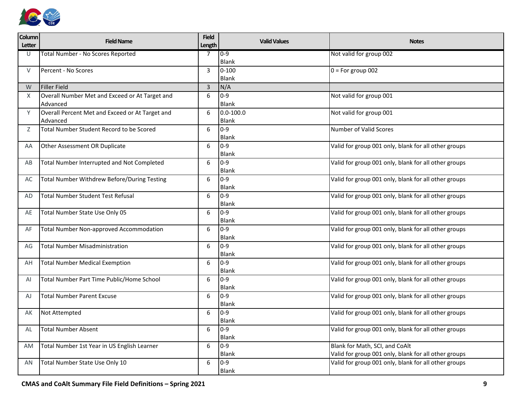

| Column<br>Letter | <b>Field Name</b>                                           | <b>Field</b><br>Length | <b>Valid Values</b>     | <b>Notes</b>                                         |
|------------------|-------------------------------------------------------------|------------------------|-------------------------|------------------------------------------------------|
| U                | Total Number - No Scores Reported                           | 7                      | $0 - 9$<br>Blank        | Not valid for group 002                              |
| $\vee$           | Percent - No Scores                                         | $\overline{3}$         | $0 - 100$<br>Blank      | $0 = For group 002$                                  |
| W                | <b>Filler Field</b>                                         | $\overline{3}$         | N/A                     |                                                      |
| X                | Overall Number Met and Exceed or At Target and<br>Advanced  | 6                      | $0 - 9$<br><b>Blank</b> | Not valid for group 001                              |
| Υ                | Overall Percent Met and Exceed or At Target and<br>Advanced | 6                      | $0.0 - 100.0$<br>Blank  | Not valid for group 001                              |
| Ζ                | <b>Total Number Student Record to be Scored</b>             | 6                      | $0 - 9$<br>Blank        | Number of Valid Scores                               |
| AA               | Other Assessment OR Duplicate                               | 6                      | $0 - 9$<br><b>Blank</b> | Valid for group 001 only, blank for all other groups |
| AB               | Total Number Interrupted and Not Completed                  | 6                      | $0 - 9$<br><b>Blank</b> | Valid for group 001 only, blank for all other groups |
| AC               | Total Number Withdrew Before/During Testing                 | 6                      | $0-9$<br><b>Blank</b>   | Valid for group 001 only, blank for all other groups |
| AD               | <b>Total Number Student Test Refusal</b>                    | 6                      | $0 - 9$<br><b>Blank</b> | Valid for group 001 only, blank for all other groups |
| AE               | Total Number State Use Only 05                              | 6                      | $0 - 9$<br>Blank        | Valid for group 001 only, blank for all other groups |
| AF               | <b>Total Number Non-approved Accommodation</b>              | 6                      | $0 - 9$<br><b>Blank</b> | Valid for group 001 only, blank for all other groups |
| AG               | <b>Total Number Misadministration</b>                       | 6                      | $0 - 9$<br><b>Blank</b> | Valid for group 001 only, blank for all other groups |
| AH               | <b>Total Number Medical Exemption</b>                       | 6                      | $0-9$<br>Blank          | Valid for group 001 only, blank for all other groups |
| AI               | Total Number Part Time Public/Home School                   | 6                      | $0 - 9$<br>Blank        | Valid for group 001 only, blank for all other groups |
| AJ               | <b>Total Number Parent Excuse</b>                           | 6                      | $0 - 9$<br><b>Blank</b> | Valid for group 001 only, blank for all other groups |
| AK               | Not Attempted                                               | 6                      | $0 - 9$<br>Blank        | Valid for group 001 only, blank for all other groups |
| AL               | <b>Total Number Absent</b>                                  | 6                      | $10-9$<br><b>Blank</b>  | Valid for group 001 only, blank for all other groups |
| AM               | Total Number 1st Year in US English Learner                 | 6                      | $0 - 9$                 | Blank for Math, SCI, and CoAlt                       |
|                  |                                                             |                        | <b>Blank</b>            | Valid for group 001 only, blank for all other groups |
| AN               | Total Number State Use Only 10                              | 6                      | $0 - 9$<br>Blank        | Valid for group 001 only, blank for all other groups |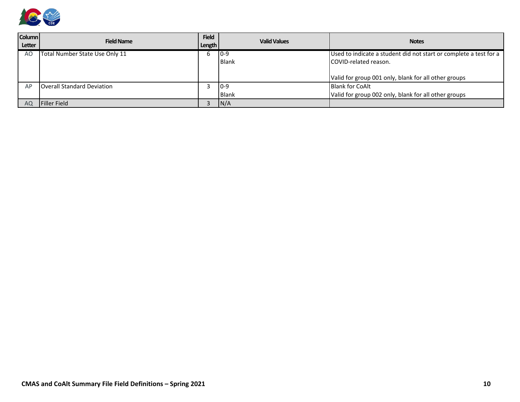

| <b>Column</b><br>Letter | <b>Field Name</b>                 | <b>Field</b><br>Length | <b>Valid Values</b> | <b>Notes</b>                                                      |
|-------------------------|-----------------------------------|------------------------|---------------------|-------------------------------------------------------------------|
| A <sub>O</sub>          | Total Number State Use Only 11    |                        | $ 0-9 $             | Used to indicate a student did not start or complete a test for a |
|                         |                                   |                        | <b>Blank</b>        | <b>ICOVID-related reason.</b>                                     |
|                         |                                   |                        |                     |                                                                   |
|                         |                                   |                        |                     | Valid for group 001 only, blank for all other groups              |
| AP                      | <b>Overall Standard Deviation</b> |                        | $10-9$              | <b>Blank for CoAlt</b>                                            |
|                         |                                   |                        | <b>Blank</b>        | Valid for group 002 only, blank for all other groups              |
| AQ                      | <b>IFiller Field</b>              |                        | N/A                 |                                                                   |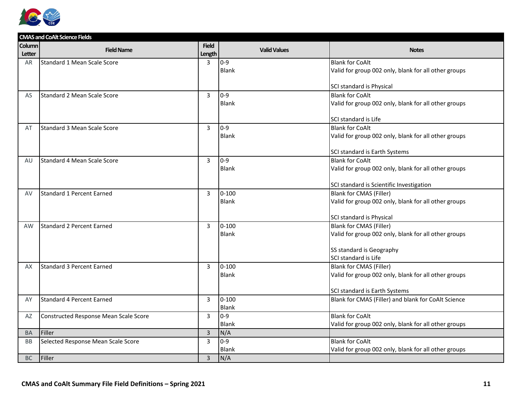

|               | <b>CMAS and CoAlt Science Fields</b>  |                |                     |                                                         |
|---------------|---------------------------------------|----------------|---------------------|---------------------------------------------------------|
| <b>Column</b> | <b>Field Name</b>                     | <b>Field</b>   | <b>Valid Values</b> | <b>Notes</b>                                            |
| Letter        |                                       | Length         |                     |                                                         |
| <b>AR</b>     | Standard 1 Mean Scale Score           | $\overline{3}$ | $0 - 9$             | <b>Blank for CoAlt</b>                                  |
|               |                                       |                | <b>Blank</b>        | Valid for group 002 only, blank for all other groups    |
|               |                                       |                |                     |                                                         |
|               |                                       |                |                     | SCI standard is Physical                                |
| AS            | Standard 2 Mean Scale Score           | 3              | $0 - 9$             | <b>Blank for CoAlt</b>                                  |
|               |                                       |                | <b>Blank</b>        | Valid for group 002 only, blank for all other groups    |
|               |                                       |                |                     |                                                         |
|               |                                       |                |                     | SCI standard is Life                                    |
| AT            | Standard 3 Mean Scale Score           | 3              | $0 - 9$             | <b>Blank for CoAlt</b>                                  |
|               |                                       |                | <b>Blank</b>        | Valid for group 002 only, blank for all other groups    |
|               |                                       |                |                     |                                                         |
|               | Standard 4 Mean Scale Score           | 3              | $0-9$               | SCI standard is Earth Systems<br><b>Blank for CoAlt</b> |
| AU            |                                       |                | <b>Blank</b>        | Valid for group 002 only, blank for all other groups    |
|               |                                       |                |                     |                                                         |
|               |                                       |                |                     | SCI standard is Scientific Investigation                |
| AV            | Standard 1 Percent Earned             | 3              | $0 - 100$           | <b>Blank for CMAS (Filler)</b>                          |
|               |                                       |                | <b>Blank</b>        | Valid for group 002 only, blank for all other groups    |
|               |                                       |                |                     |                                                         |
|               |                                       |                |                     | SCI standard is Physical                                |
| <b>AW</b>     | Standard 2 Percent Earned             | $\overline{3}$ | $0 - 100$           | <b>Blank for CMAS (Filler)</b>                          |
|               |                                       |                | <b>Blank</b>        | Valid for group 002 only, blank for all other groups    |
|               |                                       |                |                     |                                                         |
|               |                                       |                |                     | SS standard is Geography                                |
|               |                                       |                |                     | SCI standard is Life                                    |
| AX            | <b>Standard 3 Percent Earned</b>      | 3              | $0 - 100$           | <b>Blank for CMAS (Filler)</b>                          |
|               |                                       |                | <b>Blank</b>        | Valid for group 002 only, blank for all other groups    |
|               |                                       |                |                     | SCI standard is Earth Systems                           |
| AY            | Standard 4 Percent Earned             | 3              | $0 - 100$           | Blank for CMAS (Filler) and blank for CoAlt Science     |
|               |                                       |                | <b>Blank</b>        |                                                         |
| AZ            | Constructed Response Mean Scale Score | 3              | $0 - 9$             | <b>Blank for CoAlt</b>                                  |
|               |                                       |                | Blank               | Valid for group 002 only, blank for all other groups    |
| <b>BA</b>     | Filler                                | $\overline{3}$ | N/A                 |                                                         |
| <b>BB</b>     | Selected Response Mean Scale Score    | 3              | $0 - 9$             | <b>Blank for CoAlt</b>                                  |
|               |                                       |                | <b>Blank</b>        | Valid for group 002 only, blank for all other groups    |
| <b>BC</b>     | Filler                                | $\overline{3}$ | N/A                 |                                                         |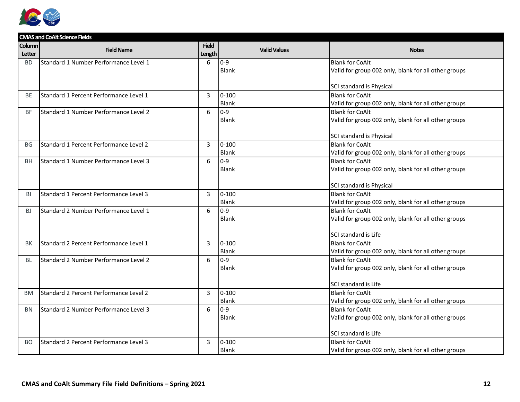

|               | <b>CMAS and CoAlt Science Fields</b>         |                |                     |                                                      |
|---------------|----------------------------------------------|----------------|---------------------|------------------------------------------------------|
| <b>Column</b> | <b>Field Name</b>                            | <b>Field</b>   | <b>Valid Values</b> | <b>Notes</b>                                         |
| <b>Letter</b> |                                              | Length         |                     |                                                      |
| <b>BD</b>     | <b>Standard 1 Number Performance Level 1</b> | 6              | $0 - 9$             | <b>Blank for CoAlt</b>                               |
|               |                                              |                | Blank               | Valid for group 002 only, blank for all other groups |
|               |                                              |                |                     |                                                      |
|               |                                              |                |                     | SCI standard is Physical                             |
| <b>BE</b>     | Standard 1 Percent Performance Level 1       | 3              | $0 - 100$           | <b>Blank for CoAlt</b>                               |
|               |                                              |                | <b>Blank</b>        | Valid for group 002 only, blank for all other groups |
| <b>BF</b>     | Standard 1 Number Performance Level 2        | 6              | $0 - 9$             | <b>Blank for CoAlt</b>                               |
|               |                                              |                | <b>Blank</b>        | Valid for group 002 only, blank for all other groups |
|               |                                              |                |                     |                                                      |
|               |                                              |                |                     | SCI standard is Physical                             |
| <b>BG</b>     | Standard 1 Percent Performance Level 2       | $\overline{3}$ | $0 - 100$           | <b>Blank for CoAlt</b>                               |
|               |                                              |                | Blank               | Valid for group 002 only, blank for all other groups |
| BH            | Standard 1 Number Performance Level 3        | 6              | $0 - 9$             | <b>Blank for CoAlt</b>                               |
|               |                                              |                | Blank               | Valid for group 002 only, blank for all other groups |
|               |                                              |                |                     |                                                      |
|               |                                              |                |                     | SCI standard is Physical                             |
| BI            | Standard 1 Percent Performance Level 3       | $\overline{3}$ | $0 - 100$           | <b>Blank for CoAlt</b>                               |
|               |                                              |                | Blank               | Valid for group 002 only, blank for all other groups |
| BJ.           | Standard 2 Number Performance Level 1        | 6              | $0 - 9$             | <b>Blank for CoAlt</b>                               |
|               |                                              |                | <b>Blank</b>        | Valid for group 002 only, blank for all other groups |
|               |                                              |                |                     |                                                      |
|               |                                              |                |                     | SCI standard is Life                                 |
| BK            | Standard 2 Percent Performance Level 1       | $\overline{3}$ | $0 - 100$           | <b>Blank for CoAlt</b>                               |
|               |                                              |                | <b>Blank</b>        | Valid for group 002 only, blank for all other groups |
| <b>BL</b>     | Standard 2 Number Performance Level 2        | 6              | $0 - 9$             | <b>Blank for CoAlt</b>                               |
|               |                                              |                | <b>Blank</b>        | Valid for group 002 only, blank for all other groups |
|               |                                              |                |                     |                                                      |
|               |                                              |                |                     | SCI standard is Life                                 |
| <b>BM</b>     | Standard 2 Percent Performance Level 2       | 3              | $0 - 100$           | <b>Blank for CoAlt</b>                               |
|               |                                              |                | Blank               | Valid for group 002 only, blank for all other groups |
| <b>BN</b>     | Standard 2 Number Performance Level 3        | 6              | $0 - 9$             | <b>Blank for CoAlt</b>                               |
|               |                                              |                | <b>Blank</b>        | Valid for group 002 only, blank for all other groups |
|               |                                              |                |                     |                                                      |
|               |                                              |                |                     | SCI standard is Life                                 |
| BO.           | Standard 2 Percent Performance Level 3       | 3              | $0 - 100$           | <b>Blank for CoAlt</b>                               |
|               |                                              |                | <b>Blank</b>        | Valid for group 002 only, blank for all other groups |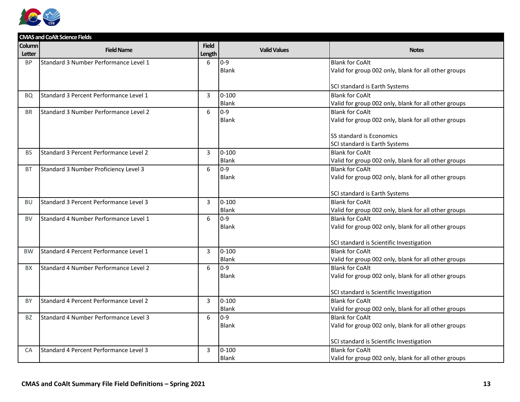

|           | <b>CMAS and CoAlt Science Fields</b>   |              |                     |                                                                    |
|-----------|----------------------------------------|--------------|---------------------|--------------------------------------------------------------------|
| Column    | <b>Field Name</b>                      | <b>Field</b> | <b>Valid Values</b> | <b>Notes</b>                                                       |
| Letter    |                                        | Length       |                     |                                                                    |
| <b>BP</b> | Standard 3 Number Performance Level 1  | 6            | $0 - 9$             | <b>Blank for CoAlt</b>                                             |
|           |                                        |              | <b>Blank</b>        | Valid for group 002 only, blank for all other groups               |
|           |                                        |              |                     |                                                                    |
|           |                                        |              |                     | SCI standard is Earth Systems                                      |
| BQ        | Standard 3 Percent Performance Level 1 | 3            | $0 - 100$           | <b>Blank for CoAlt</b>                                             |
|           |                                        |              | <b>Blank</b>        | Valid for group 002 only, blank for all other groups               |
| <b>BR</b> | Standard 3 Number Performance Level 2  | 6            | $0 - 9$             | <b>Blank for CoAlt</b>                                             |
|           |                                        |              | Blank               | Valid for group 002 only, blank for all other groups               |
|           |                                        |              |                     |                                                                    |
|           |                                        |              |                     | SS standard is Economics                                           |
|           |                                        |              |                     | SCI standard is Earth Systems                                      |
| <b>BS</b> | Standard 3 Percent Performance Level 2 | 3            | $0 - 100$           | <b>Blank for CoAlt</b>                                             |
|           |                                        |              | <b>Blank</b>        | Valid for group 002 only, blank for all other groups               |
| <b>BT</b> | Standard 3 Number Proficiency Level 3  | 6            | $0 - 9$             | <b>Blank for CoAlt</b>                                             |
|           |                                        |              | <b>Blank</b>        | Valid for group 002 only, blank for all other groups               |
|           |                                        |              |                     |                                                                    |
|           |                                        |              |                     | SCI standard is Earth Systems                                      |
| <b>BU</b> | Standard 3 Percent Performance Level 3 | 3            | $0 - 100$           | <b>Blank for CoAlt</b>                                             |
|           |                                        |              | <b>Blank</b>        | Valid for group 002 only, blank for all other groups               |
| <b>BV</b> | Standard 4 Number Performance Level 1  | 6            | $0 - 9$             | <b>Blank for CoAlt</b>                                             |
|           |                                        |              | <b>Blank</b>        | Valid for group 002 only, blank for all other groups               |
|           |                                        |              |                     |                                                                    |
|           |                                        |              |                     | SCI standard is Scientific Investigation                           |
| <b>BW</b> | Standard 4 Percent Performance Level 1 | 3            | $0 - 100$           | <b>Blank for CoAlt</b>                                             |
|           |                                        |              | <b>Blank</b>        | Valid for group 002 only, blank for all other groups               |
| <b>BX</b> | Standard 4 Number Performance Level 2  | 6            | $0 - 9$             | <b>Blank for CoAlt</b>                                             |
|           |                                        |              | <b>Blank</b>        | Valid for group 002 only, blank for all other groups               |
|           |                                        |              |                     |                                                                    |
|           | Standard 4 Percent Performance Level 2 |              | $0 - 100$           | SCI standard is Scientific Investigation<br><b>Blank for CoAlt</b> |
| BY        |                                        | 3            | <b>Blank</b>        |                                                                    |
|           |                                        |              |                     | Valid for group 002 only, blank for all other groups               |
| <b>BZ</b> | Standard 4 Number Performance Level 3  | 6            | $0 - 9$             | <b>Blank for CoAlt</b>                                             |
|           |                                        |              | <b>Blank</b>        | Valid for group 002 only, blank for all other groups               |
|           |                                        |              |                     | SCI standard is Scientific Investigation                           |
| <b>CA</b> | Standard 4 Percent Performance Level 3 | 3            | $0 - 100$           | <b>Blank for CoAlt</b>                                             |
|           |                                        |              | <b>Blank</b>        |                                                                    |
|           |                                        |              |                     | Valid for group 002 only, blank for all other groups               |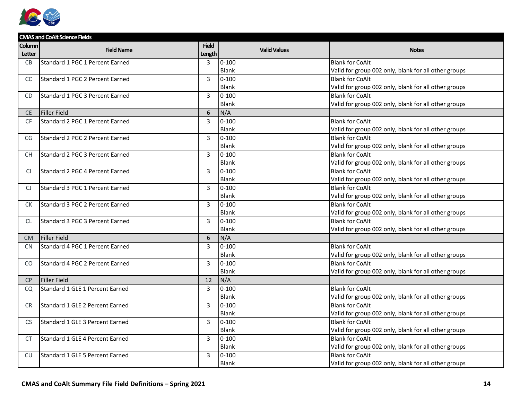

|               | <b>CMAS and CoAlt Science Fields</b> |                |                     |                                                      |
|---------------|--------------------------------------|----------------|---------------------|------------------------------------------------------|
| Column        | <b>Field Name</b>                    | <b>Field</b>   | <b>Valid Values</b> | <b>Notes</b>                                         |
| Letter        |                                      | Length         |                     |                                                      |
| <b>CB</b>     | Standard 1 PGC 1 Percent Earned      | 3              | $0 - 100$           | <b>Blank for CoAlt</b>                               |
|               |                                      |                | <b>Blank</b>        | Valid for group 002 only, blank for all other groups |
| <sub>CC</sub> | Standard 1 PGC 2 Percent Earned      | $\overline{3}$ | $0 - 100$           | <b>Blank for CoAlt</b>                               |
|               |                                      |                | <b>Blank</b>        | Valid for group 002 only, blank for all other groups |
| <b>CD</b>     | Standard 1 PGC 3 Percent Earned      | 3              | $0 - 100$           | <b>Blank for CoAlt</b>                               |
|               |                                      |                | Blank               | Valid for group 002 only, blank for all other groups |
| <b>CE</b>     | <b>Filler Field</b>                  | 6              | N/A                 |                                                      |
| <b>CF</b>     | Standard 2 PGC 1 Percent Earned      | 3              | $0 - 100$           | <b>Blank for CoAlt</b>                               |
|               |                                      |                | <b>Blank</b>        | Valid for group 002 only, blank for all other groups |
| CG            | Standard 2 PGC 2 Percent Earned      | 3              | $0 - 100$           | <b>Blank for CoAlt</b>                               |
|               |                                      |                | <b>Blank</b>        | Valid for group 002 only, blank for all other groups |
| <b>CH</b>     | Standard 2 PGC 3 Percent Earned      | 3              | $0 - 100$           | <b>Blank for CoAlt</b>                               |
|               |                                      |                | <b>Blank</b>        | Valid for group 002 only, blank for all other groups |
| <sup>C</sup>  | Standard 2 PGC 4 Percent Earned      | 3              | $0 - 100$           | <b>Blank for CoAlt</b>                               |
|               |                                      |                | Blank               | Valid for group 002 only, blank for all other groups |
| CJ            | Standard 3 PGC 1 Percent Earned      | $\overline{3}$ | $0 - 100$           | <b>Blank for CoAlt</b>                               |
|               |                                      |                | Blank               | Valid for group 002 only, blank for all other groups |
| <b>CK</b>     | Standard 3 PGC 2 Percent Earned      | 3              | $0 - 100$           | <b>Blank for CoAlt</b>                               |
|               |                                      |                | Blank               | Valid for group 002 only, blank for all other groups |
| <b>CL</b>     | Standard 3 PGC 3 Percent Earned      | 3              | $0 - 100$           | <b>Blank for CoAlt</b>                               |
|               |                                      |                | <b>Blank</b>        | Valid for group 002 only, blank for all other groups |
| <b>CM</b>     | <b>Filler Field</b>                  | 6              | N/A                 |                                                      |
| <b>CN</b>     | Standard 4 PGC 1 Percent Earned      | $\overline{3}$ | $0 - 100$           | <b>Blank for CoAlt</b>                               |
|               |                                      |                | <b>Blank</b>        | Valid for group 002 only, blank for all other groups |
| CO.           | Standard 4 PGC 2 Percent Earned      | 3              | $0 - 100$           | <b>Blank for CoAlt</b>                               |
|               |                                      |                | Blank               | Valid for group 002 only, blank for all other groups |
| <b>CP</b>     | <b>Filler Field</b>                  | 12             | N/A                 |                                                      |
| CQ            | Standard 1 GLE 1 Percent Earned      | 3              | $0 - 100$           | <b>Blank for CoAlt</b>                               |
|               |                                      |                | <b>Blank</b>        | Valid for group 002 only, blank for all other groups |
| <b>CR</b>     | Standard 1 GLE 2 Percent Earned      | 3              | $0 - 100$           | <b>Blank for CoAlt</b>                               |
|               |                                      |                | Blank               | Valid for group 002 only, blank for all other groups |
| <b>CS</b>     | Standard 1 GLE 3 Percent Earned      | 3              | $0 - 100$           | <b>Blank for CoAlt</b>                               |
|               |                                      |                | Blank               | Valid for group 002 only, blank for all other groups |
| <b>CT</b>     | Standard 1 GLE 4 Percent Earned      | $\overline{3}$ | $0 - 100$           | <b>Blank for CoAlt</b>                               |
|               |                                      |                | Blank               | Valid for group 002 only, blank for all other groups |
| CU            | Standard 1 GLE 5 Percent Earned      | 3              | $0 - 100$           | <b>Blank for CoAlt</b>                               |
|               |                                      |                | <b>Blank</b>        | Valid for group 002 only, blank for all other groups |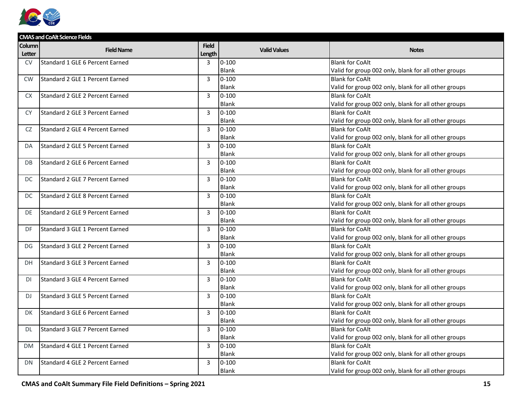

|           | <b>CMAS and CoAlt Science Fields</b> |                |                     |                                                      |  |  |  |
|-----------|--------------------------------------|----------------|---------------------|------------------------------------------------------|--|--|--|
| Column    | <b>Field Name</b>                    | <b>Field</b>   | <b>Valid Values</b> | <b>Notes</b>                                         |  |  |  |
| Letter    |                                      | Length         |                     |                                                      |  |  |  |
| CV        | Standard 1 GLE 6 Percent Earned      | 3              | $0 - 100$           | <b>Blank for CoAlt</b>                               |  |  |  |
|           |                                      |                | <b>Blank</b>        | Valid for group 002 only, blank for all other groups |  |  |  |
| <b>CW</b> | Standard 2 GLE 1 Percent Earned      | $\overline{3}$ | $0 - 100$           | <b>Blank for CoAlt</b>                               |  |  |  |
|           |                                      |                | <b>Blank</b>        | Valid for group 002 only, blank for all other groups |  |  |  |
| <b>CX</b> | Standard 2 GLE 2 Percent Earned      | 3              | $0 - 100$           | <b>Blank for CoAlt</b>                               |  |  |  |
|           |                                      |                | <b>Blank</b>        | Valid for group 002 only, blank for all other groups |  |  |  |
| CY.       | Standard 2 GLE 3 Percent Earned      | 3              | $0 - 100$           | <b>Blank for CoAlt</b>                               |  |  |  |
|           |                                      |                | <b>Blank</b>        | Valid for group 002 only, blank for all other groups |  |  |  |
| CZ.       | Standard 2 GLE 4 Percent Earned      | 3              | $0 - 100$           | <b>Blank for CoAlt</b>                               |  |  |  |
|           |                                      |                | <b>Blank</b>        | Valid for group 002 only, blank for all other groups |  |  |  |
| DA        | Standard 2 GLE 5 Percent Earned      | 3              | $0 - 100$           | <b>Blank for CoAlt</b>                               |  |  |  |
|           |                                      |                | <b>Blank</b>        | Valid for group 002 only, blank for all other groups |  |  |  |
| DB        | Standard 2 GLE 6 Percent Earned      | 3              | $0 - 100$           | <b>Blank for CoAlt</b>                               |  |  |  |
|           |                                      |                | <b>Blank</b>        | Valid for group 002 only, blank for all other groups |  |  |  |
| DC        | Standard 2 GLE 7 Percent Earned      | 3              | $0 - 100$           | <b>Blank for CoAlt</b>                               |  |  |  |
|           |                                      |                | <b>Blank</b>        | Valid for group 002 only, blank for all other groups |  |  |  |
| DC        | Standard 2 GLE 8 Percent Earned      | $\overline{3}$ | $0 - 100$           | <b>Blank for CoAlt</b>                               |  |  |  |
|           |                                      |                | Blank               | Valid for group 002 only, blank for all other groups |  |  |  |
| DE        | Standard 2 GLE 9 Percent Earned      | $\overline{3}$ | $0 - 100$           | <b>Blank for CoAlt</b>                               |  |  |  |
|           |                                      |                | <b>Blank</b>        | Valid for group 002 only, blank for all other groups |  |  |  |
| DF        | Standard 3 GLE 1 Percent Earned      | 3              | $0 - 100$           | <b>Blank for CoAlt</b>                               |  |  |  |
|           |                                      |                | <b>Blank</b>        | Valid for group 002 only, blank for all other groups |  |  |  |
| DG        | Standard 3 GLE 2 Percent Earned      | $\overline{3}$ | $0 - 100$           | <b>Blank for CoAlt</b>                               |  |  |  |
|           |                                      |                | <b>Blank</b>        | Valid for group 002 only, blank for all other groups |  |  |  |
| <b>DH</b> | Standard 3 GLE 3 Percent Earned      | 3              | $0 - 100$           | <b>Blank for CoAlt</b>                               |  |  |  |
|           |                                      |                | <b>Blank</b>        | Valid for group 002 only, blank for all other groups |  |  |  |
| DI        | Standard 3 GLE 4 Percent Earned      | $\overline{3}$ | $0 - 100$           | <b>Blank for CoAlt</b>                               |  |  |  |
|           |                                      |                | <b>Blank</b>        | Valid for group 002 only, blank for all other groups |  |  |  |
| DJ        | Standard 3 GLE 5 Percent Earned      | 3              | $0 - 100$           | <b>Blank for CoAlt</b>                               |  |  |  |
|           |                                      |                | <b>Blank</b>        | Valid for group 002 only, blank for all other groups |  |  |  |
| DK.       | Standard 3 GLE 6 Percent Earned      | 3              | $0 - 100$           | <b>Blank for CoAlt</b>                               |  |  |  |
|           |                                      |                | <b>Blank</b>        | Valid for group 002 only, blank for all other groups |  |  |  |
| DL.       | Standard 3 GLE 7 Percent Earned      | $\overline{3}$ | $0 - 100$           | <b>Blank for CoAlt</b>                               |  |  |  |
|           |                                      |                | <b>Blank</b>        | Valid for group 002 only, blank for all other groups |  |  |  |
| <b>DM</b> | Standard 4 GLE 1 Percent Earned      | 3              | $0 - 100$           | <b>Blank for CoAlt</b>                               |  |  |  |
|           |                                      |                | Blank               | Valid for group 002 only, blank for all other groups |  |  |  |
| DN        | Standard 4 GLE 2 Percent Earned      | 3              | $0 - 100$           | <b>Blank for CoAlt</b>                               |  |  |  |
|           |                                      |                | <b>Blank</b>        | Valid for group 002 only, blank for all other groups |  |  |  |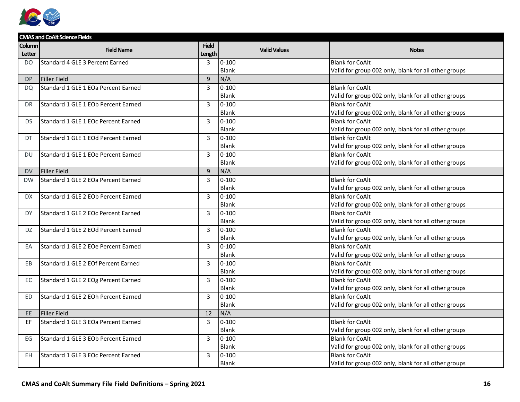

|           | <b>CMAS and CoAlt Science Fields</b> |                |                     |                                                      |  |  |
|-----------|--------------------------------------|----------------|---------------------|------------------------------------------------------|--|--|
| Column    | <b>Field Name</b>                    | <b>Field</b>   | <b>Valid Values</b> | <b>Notes</b>                                         |  |  |
| Letter    |                                      | Length         |                     |                                                      |  |  |
| DO.       | Standard 4 GLE 3 Percent Earned      | 3              | $0 - 100$           | <b>Blank for CoAlt</b>                               |  |  |
|           |                                      |                | <b>Blank</b>        | Valid for group 002 only, blank for all other groups |  |  |
| <b>DP</b> | <b>Filler Field</b>                  | 9              | N/A                 |                                                      |  |  |
| <b>DQ</b> | Standard 1 GLE 1 EOa Percent Earned  | 3              | $0 - 100$           | <b>Blank for CoAlt</b>                               |  |  |
|           |                                      |                | Blank               | Valid for group 002 only, blank for all other groups |  |  |
| DR.       | Standard 1 GLE 1 EOb Percent Earned  | 3              | $0 - 100$           | <b>Blank for CoAlt</b>                               |  |  |
|           |                                      |                | <b>Blank</b>        | Valid for group 002 only, blank for all other groups |  |  |
| <b>DS</b> | Standard 1 GLE 1 EOc Percent Earned  | $\overline{3}$ | $0 - 100$           | <b>Blank for CoAlt</b>                               |  |  |
|           |                                      |                | <b>Blank</b>        | Valid for group 002 only, blank for all other groups |  |  |
| DT        | Standard 1 GLE 1 EOd Percent Earned  | 3              | $0 - 100$           | <b>Blank for CoAlt</b>                               |  |  |
|           |                                      |                | <b>Blank</b>        | Valid for group 002 only, blank for all other groups |  |  |
| DU        | Standard 1 GLE 1 EOe Percent Earned  | 3              | $0 - 100$           | <b>Blank for CoAlt</b>                               |  |  |
|           |                                      |                | <b>Blank</b>        | Valid for group 002 only, blank for all other groups |  |  |
| <b>DV</b> | <b>Filler Field</b>                  | 9              | N/A                 |                                                      |  |  |
| <b>DW</b> | Standard 1 GLE 2 EOa Percent Earned  | $\overline{3}$ | $0 - 100$           | <b>Blank for CoAlt</b>                               |  |  |
|           |                                      |                | <b>Blank</b>        | Valid for group 002 only, blank for all other groups |  |  |
| <b>DX</b> | Standard 1 GLE 2 EOb Percent Earned  | $\overline{3}$ | $0 - 100$           | <b>Blank for CoAlt</b>                               |  |  |
|           |                                      |                | <b>Blank</b>        | Valid for group 002 only, blank for all other groups |  |  |
| DY        | Standard 1 GLE 2 EOc Percent Earned  | $\overline{3}$ | $0 - 100$           | <b>Blank for CoAlt</b>                               |  |  |
|           |                                      |                | <b>Blank</b>        | Valid for group 002 only, blank for all other groups |  |  |
| DZ.       | Standard 1 GLE 2 EOd Percent Earned  | 3              | $0 - 100$           | <b>Blank for CoAlt</b>                               |  |  |
|           |                                      |                | Blank               | Valid for group 002 only, blank for all other groups |  |  |
| EA        | Standard 1 GLE 2 EOe Percent Earned  | $\overline{3}$ | $0 - 100$           | <b>Blank for CoAlt</b>                               |  |  |
|           |                                      |                | Blank               | Valid for group 002 only, blank for all other groups |  |  |
| EB        | Standard 1 GLE 2 EOf Percent Earned  | $\overline{3}$ | $0 - 100$           | <b>Blank for CoAlt</b>                               |  |  |
|           |                                      |                | Blank               | Valid for group 002 only, blank for all other groups |  |  |
| EC        | Standard 1 GLE 2 EOg Percent Earned  | $\overline{3}$ | $0 - 100$           | <b>Blank for CoAlt</b>                               |  |  |
|           |                                      |                | <b>Blank</b>        | Valid for group 002 only, blank for all other groups |  |  |
| <b>ED</b> | Standard 1 GLE 2 EOh Percent Earned  | $\overline{3}$ | $0 - 100$           | <b>Blank for CoAlt</b>                               |  |  |
|           |                                      |                | <b>Blank</b>        | Valid for group 002 only, blank for all other groups |  |  |
| EE.       | <b>Filler Field</b>                  | 12             | N/A                 |                                                      |  |  |
| EF        | Standard 1 GLE 3 EOa Percent Earned  | 3              | $0 - 100$           | <b>Blank for CoAlt</b>                               |  |  |
|           |                                      |                | <b>Blank</b>        | Valid for group 002 only, blank for all other groups |  |  |
| EG        | Standard 1 GLE 3 EOb Percent Earned  | 3              | $0 - 100$           | <b>Blank for CoAlt</b>                               |  |  |
|           |                                      |                | Blank               | Valid for group 002 only, blank for all other groups |  |  |
| EH        | Standard 1 GLE 3 EOc Percent Earned  | 3              | $0 - 100$           | <b>Blank for CoAlt</b>                               |  |  |
|           |                                      |                | <b>Blank</b>        | Valid for group 002 only, blank for all other groups |  |  |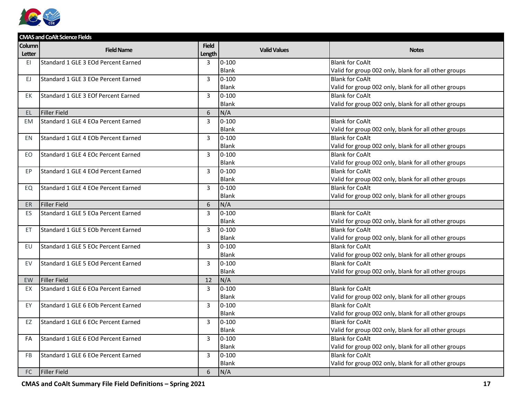

|               | <b>CMAS and CoAlt Science Fields</b> |                |                     |                                                      |  |  |  |
|---------------|--------------------------------------|----------------|---------------------|------------------------------------------------------|--|--|--|
| Column        | <b>Field Name</b>                    | <b>Field</b>   | <b>Valid Values</b> | <b>Notes</b>                                         |  |  |  |
| <b>Letter</b> |                                      | Length         |                     |                                                      |  |  |  |
| EI            | Standard 1 GLE 3 EOd Percent Earned  | $\overline{3}$ | $0 - 100$           | <b>Blank for CoAlt</b>                               |  |  |  |
|               |                                      |                | <b>Blank</b>        | Valid for group 002 only, blank for all other groups |  |  |  |
| EJ.           | Standard 1 GLE 3 EOe Percent Earned  | $\mathbf{3}$   | $0 - 100$           | <b>Blank for CoAlt</b>                               |  |  |  |
|               |                                      |                | <b>Blank</b>        | Valid for group 002 only, blank for all other groups |  |  |  |
| EK            | Standard 1 GLE 3 EOf Percent Earned  | $\overline{3}$ | $0 - 100$           | <b>Blank for CoAlt</b>                               |  |  |  |
|               |                                      |                | <b>Blank</b>        | Valid for group 002 only, blank for all other groups |  |  |  |
| EL.           | <b>Filler Field</b>                  | 6              | N/A                 |                                                      |  |  |  |
| <b>EM</b>     | Standard 1 GLE 4 EOa Percent Earned  | 3              | $0 - 100$           | <b>Blank for CoAlt</b>                               |  |  |  |
|               |                                      |                | Blank               | Valid for group 002 only, blank for all other groups |  |  |  |
| EN            | Standard 1 GLE 4 EOb Percent Earned  | 3              | $0 - 100$           | <b>Blank for CoAlt</b>                               |  |  |  |
|               |                                      |                | <b>Blank</b>        | Valid for group 002 only, blank for all other groups |  |  |  |
| EO            | Standard 1 GLE 4 EOc Percent Earned  | 3              | $0 - 100$           | <b>Blank for CoAlt</b>                               |  |  |  |
|               |                                      |                | <b>Blank</b>        | Valid for group 002 only, blank for all other groups |  |  |  |
| EP            | Standard 1 GLE 4 EOd Percent Earned  | 3              | $0 - 100$           | <b>Blank for CoAlt</b>                               |  |  |  |
|               |                                      |                | <b>Blank</b>        | Valid for group 002 only, blank for all other groups |  |  |  |
| EQ            | Standard 1 GLE 4 EOe Percent Earned  | $\overline{3}$ | $0 - 100$           | <b>Blank for CoAlt</b>                               |  |  |  |
|               |                                      |                | <b>Blank</b>        | Valid for group 002 only, blank for all other groups |  |  |  |
| <b>ER</b>     | <b>Filler Field</b>                  | 6              | N/A                 |                                                      |  |  |  |
| ES            | Standard 1 GLE 5 EOa Percent Earned  | 3              | $0 - 100$           | <b>Blank for CoAlt</b>                               |  |  |  |
|               |                                      |                | <b>Blank</b>        | Valid for group 002 only, blank for all other groups |  |  |  |
| ET.           | Standard 1 GLE 5 EOb Percent Earned  | 3              | $0 - 100$           | <b>Blank for CoAlt</b>                               |  |  |  |
|               |                                      |                | Blank               | Valid for group 002 only, blank for all other groups |  |  |  |
| EU            | Standard 1 GLE 5 EOc Percent Earned  | $\overline{3}$ | $0 - 100$           | <b>Blank for CoAlt</b>                               |  |  |  |
|               |                                      |                | <b>Blank</b>        | Valid for group 002 only, blank for all other groups |  |  |  |
| EV            | Standard 1 GLE 5 EOd Percent Earned  | 3              | $0 - 100$           | <b>Blank for CoAlt</b>                               |  |  |  |
|               |                                      |                | Blank               | Valid for group 002 only, blank for all other groups |  |  |  |
| <b>EW</b>     | <b>Filler Field</b>                  | 12             | N/A                 |                                                      |  |  |  |
| EX            | Standard 1 GLE 6 EOa Percent Earned  | $\overline{3}$ | $0 - 100$           | <b>Blank for CoAlt</b>                               |  |  |  |
|               |                                      |                | <b>Blank</b>        | Valid for group 002 only, blank for all other groups |  |  |  |
| EY.           | Standard 1 GLE 6 EOb Percent Earned  | 3              | $0 - 100$           | <b>Blank for CoAlt</b>                               |  |  |  |
|               |                                      |                | Blank               | Valid for group 002 only, blank for all other groups |  |  |  |
| EZ            | Standard 1 GLE 6 EOc Percent Earned  | 3              | $0 - 100$           | <b>Blank for CoAlt</b>                               |  |  |  |
|               |                                      |                | Blank               | Valid for group 002 only, blank for all other groups |  |  |  |
| FA            | Standard 1 GLE 6 EOd Percent Earned  | $\overline{3}$ | $0 - 100$           | <b>Blank for CoAlt</b>                               |  |  |  |
|               |                                      |                | <b>Blank</b>        | Valid for group 002 only, blank for all other groups |  |  |  |
| <b>FB</b>     | Standard 1 GLE 6 EOe Percent Earned  | 3              | $0 - 100$           | <b>Blank for CoAlt</b>                               |  |  |  |
|               |                                      |                | <b>Blank</b>        | Valid for group 002 only, blank for all other groups |  |  |  |
| FC            | <b>Filler Field</b>                  | 6              | N/A                 |                                                      |  |  |  |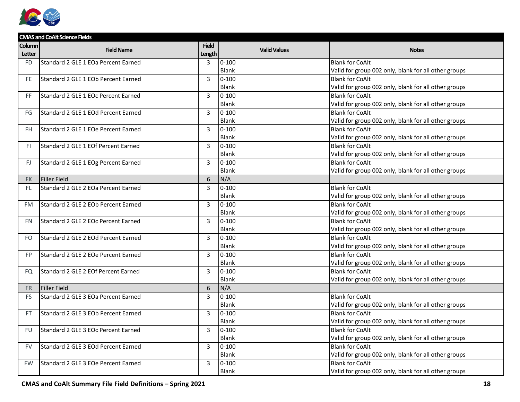

|           | <b>CMAS and CoAlt Science Fields</b> |                |                     |                                                      |
|-----------|--------------------------------------|----------------|---------------------|------------------------------------------------------|
| Column    | <b>Field Name</b>                    | <b>Field</b>   | <b>Valid Values</b> | <b>Notes</b>                                         |
| Letter    |                                      | Length         |                     |                                                      |
| <b>FD</b> | Standard 2 GLE 1 EOa Percent Earned  | $\overline{3}$ | $0 - 100$           | <b>Blank for CoAlt</b>                               |
|           |                                      |                | <b>Blank</b>        | Valid for group 002 only, blank for all other groups |
| FE.       | Standard 2 GLE 1 EOb Percent Earned  | 3              | $0 - 100$           | <b>Blank for CoAlt</b>                               |
|           |                                      |                | <b>Blank</b>        | Valid for group 002 only, blank for all other groups |
| FF        | Standard 2 GLE 1 EOc Percent Earned  | $\overline{3}$ | $0 - 100$           | <b>Blank for CoAlt</b>                               |
|           |                                      |                | <b>Blank</b>        | Valid for group 002 only, blank for all other groups |
| FG        | Standard 2 GLE 1 EOd Percent Earned  | 3              | $0 - 100$           | <b>Blank for CoAlt</b>                               |
|           |                                      |                | <b>Blank</b>        | Valid for group 002 only, blank for all other groups |
| <b>FH</b> | Standard 2 GLE 1 EOe Percent Earned  | 3              | $0 - 100$           | <b>Blank for CoAlt</b>                               |
|           |                                      |                | Blank               | Valid for group 002 only, blank for all other groups |
| FI.       | Standard 2 GLE 1 EOf Percent Earned  | $\overline{3}$ | $0 - 100$           | <b>Blank for CoAlt</b>                               |
|           |                                      |                | <b>Blank</b>        | Valid for group 002 only, blank for all other groups |
| FJ        | Standard 2 GLE 1 EOg Percent Earned  | 3              | $0 - 100$           | <b>Blank for CoAlt</b>                               |
|           |                                      |                | Blank               | Valid for group 002 only, blank for all other groups |
| <b>FK</b> | <b>Filler Field</b>                  | 6              | N/A                 |                                                      |
| <b>FL</b> | Standard 2 GLE 2 EOa Percent Earned  | $\overline{3}$ | $0 - 100$           | <b>Blank for CoAlt</b>                               |
|           |                                      |                | <b>Blank</b>        | Valid for group 002 only, blank for all other groups |
| FM        | Standard 2 GLE 2 EOb Percent Earned  | 3              | $0 - 100$           | <b>Blank for CoAlt</b>                               |
|           |                                      |                | Blank               | Valid for group 002 only, blank for all other groups |
| <b>FN</b> | Standard 2 GLE 2 EOc Percent Earned  | 3              | $0 - 100$           | <b>Blank for CoAlt</b>                               |
|           |                                      |                | Blank               | Valid for group 002 only, blank for all other groups |
| <b>FO</b> | Standard 2 GLE 2 EOd Percent Earned  | 3              | $0 - 100$           | <b>Blank for CoAlt</b>                               |
|           |                                      |                | Blank               | Valid for group 002 only, blank for all other groups |
| <b>FP</b> | Standard 2 GLE 2 EOe Percent Earned  | 3              | $0 - 100$           | <b>Blank for CoAlt</b>                               |
|           |                                      |                | <b>Blank</b>        | Valid for group 002 only, blank for all other groups |
| FQ        | Standard 2 GLE 2 EOf Percent Earned  | $\overline{3}$ | $0 - 100$           | <b>Blank for CoAlt</b>                               |
|           |                                      |                | Blank               | Valid for group 002 only, blank for all other groups |
| <b>FR</b> | <b>Filler Field</b>                  | 6              | N/A                 |                                                      |
| <b>FS</b> | Standard 2 GLE 3 EOa Percent Earned  | 3              | $0 - 100$           | <b>Blank for CoAlt</b>                               |
|           |                                      |                | Blank               | Valid for group 002 only, blank for all other groups |
| <b>FT</b> | Standard 2 GLE 3 EOb Percent Earned  | 3              | $0 - 100$           | <b>Blank for CoAlt</b>                               |
|           |                                      |                | Blank               | Valid for group 002 only, blank for all other groups |
| FU        | Standard 2 GLE 3 EOc Percent Earned  | $\overline{3}$ | $0 - 100$           | <b>Blank for CoAlt</b>                               |
|           |                                      |                | <b>Blank</b>        | Valid for group 002 only, blank for all other groups |
| <b>FV</b> | Standard 2 GLE 3 EOd Percent Earned  | 3              | $0 - 100$           | <b>Blank for CoAlt</b>                               |
|           |                                      |                | Blank               | Valid for group 002 only, blank for all other groups |
| <b>FW</b> | Standard 2 GLE 3 EOe Percent Earned  | 3              | $0 - 100$           | <b>Blank for CoAlt</b>                               |
|           |                                      |                | <b>Blank</b>        | Valid for group 002 only, blank for all other groups |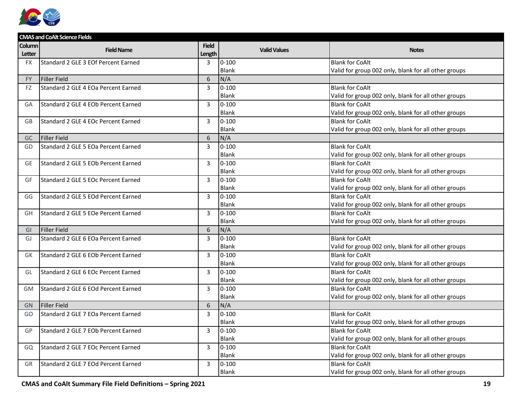

|           | <b>CMAS and CoAlt Science Fields</b> |                |                     |                                                      |  |  |
|-----------|--------------------------------------|----------------|---------------------|------------------------------------------------------|--|--|
| Column    | <b>Field Name</b>                    | <b>Field</b>   | <b>Valid Values</b> | <b>Notes</b>                                         |  |  |
| Letter    |                                      | Length         |                     |                                                      |  |  |
| <b>FX</b> | Standard 2 GLE 3 EOf Percent Earned  | 3              | $0 - 100$           | <b>Blank for CoAlt</b>                               |  |  |
|           |                                      |                | <b>Blank</b>        | Valid for group 002 only, blank for all other groups |  |  |
| <b>FY</b> | <b>Filler Field</b>                  | 6              | N/A                 |                                                      |  |  |
| FZ        | Standard 2 GLE 4 EOa Percent Earned  | 3              | $0 - 100$           | <b>Blank for CoAlt</b>                               |  |  |
|           |                                      |                | <b>Blank</b>        | Valid for group 002 only, blank for all other groups |  |  |
| GA        | Standard 2 GLE 4 EOb Percent Earned  | $\overline{3}$ | $0 - 100$           | <b>Blank for CoAlt</b>                               |  |  |
|           |                                      |                | <b>Blank</b>        | Valid for group 002 only, blank for all other groups |  |  |
| GB        | Standard 2 GLE 4 EOc Percent Earned  | 3              | $0 - 100$           | <b>Blank for CoAlt</b>                               |  |  |
|           |                                      |                | Blank               | Valid for group 002 only, blank for all other groups |  |  |
| GC        | <b>Filler Field</b>                  | 6              | N/A                 |                                                      |  |  |
| GD        | Standard 2 GLE 5 EOa Percent Earned  | 3              | $0 - 100$           | <b>Blank for CoAlt</b>                               |  |  |
|           |                                      |                | <b>Blank</b>        | Valid for group 002 only, blank for all other groups |  |  |
| <b>GE</b> | Standard 2 GLE 5 EOb Percent Earned  | $\overline{3}$ | $0 - 100$           | <b>Blank for CoAlt</b>                               |  |  |
|           |                                      |                | <b>Blank</b>        | Valid for group 002 only, blank for all other groups |  |  |
| GF        | Standard 2 GLE 5 EOc Percent Earned  | $\overline{3}$ | $0 - 100$           | <b>Blank for CoAlt</b>                               |  |  |
|           |                                      |                | <b>Blank</b>        | Valid for group 002 only, blank for all other groups |  |  |
| GG        | Standard 2 GLE 5 EOd Percent Earned  | 3              | $0 - 100$           | <b>Blank for CoAlt</b>                               |  |  |
|           |                                      |                | <b>Blank</b>        | Valid for group 002 only, blank for all other groups |  |  |
| <b>GH</b> | Standard 2 GLE 5 EOe Percent Earned  | 3              | $0 - 100$           | <b>Blank for CoAlt</b>                               |  |  |
|           |                                      |                | Blank               | Valid for group 002 only, blank for all other groups |  |  |
| GI        | <b>Filler Field</b>                  | 6              | N/A                 |                                                      |  |  |
| GJ        | Standard 2 GLE 6 EOa Percent Earned  | 3              | $0 - 100$           | <b>Blank for CoAlt</b>                               |  |  |
|           |                                      |                | Blank               | Valid for group 002 only, blank for all other groups |  |  |
| GK        | Standard 2 GLE 6 EOb Percent Earned  | 3              | $0 - 100$           | <b>Blank for CoAlt</b>                               |  |  |
|           |                                      |                | <b>Blank</b>        | Valid for group 002 only, blank for all other groups |  |  |
| GL        | Standard 2 GLE 6 EOc Percent Earned  | 3              | $0 - 100$           | <b>Blank for CoAlt</b>                               |  |  |
|           |                                      |                | <b>Blank</b>        | Valid for group 002 only, blank for all other groups |  |  |
| <b>GM</b> | Standard 2 GLE 6 EOd Percent Earned  | $\overline{3}$ | $0 - 100$           | <b>Blank for CoAlt</b>                               |  |  |
|           |                                      |                | <b>Blank</b>        | Valid for group 002 only, blank for all other groups |  |  |
| <b>GN</b> | <b>Filler Field</b>                  | 6              | N/A                 |                                                      |  |  |
| GO        | Standard 2 GLE 7 EOa Percent Earned  | 3              | $0 - 100$           | <b>Blank for CoAlt</b>                               |  |  |
|           |                                      |                | Blank               | Valid for group 002 only, blank for all other groups |  |  |
| GP        | Standard 2 GLE 7 EOb Percent Earned  | 3              | $0 - 100$           | <b>Blank for CoAlt</b>                               |  |  |
|           |                                      |                | <b>Blank</b>        | Valid for group 002 only, blank for all other groups |  |  |
| GQ        | Standard 2 GLE 7 EOc Percent Earned  | 3              | $0 - 100$           | <b>Blank for CoAlt</b>                               |  |  |
|           |                                      |                | <b>Blank</b>        | Valid for group 002 only, blank for all other groups |  |  |
| GR        | Standard 2 GLE 7 EOd Percent Earned  | 3              | $0 - 100$           | <b>Blank for CoAlt</b>                               |  |  |
|           |                                      |                | <b>Blank</b>        | Valid for group 002 only, blank for all other groups |  |  |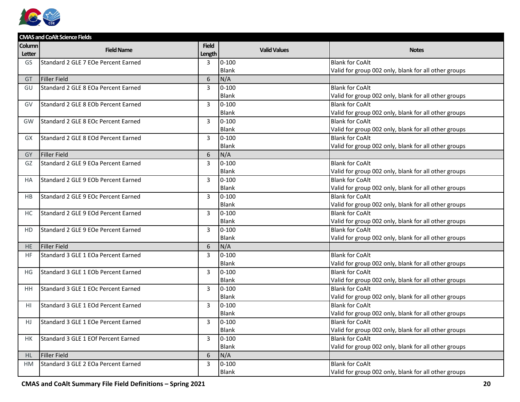

| <b>CMAS and CoAlt Science Fields</b> |                                     |                        |                     |                                                      |  |
|--------------------------------------|-------------------------------------|------------------------|---------------------|------------------------------------------------------|--|
| Column<br>Letter                     | <b>Field Name</b>                   | <b>Field</b><br>Length | <b>Valid Values</b> | <b>Notes</b>                                         |  |
| GS                                   | Standard 2 GLE 7 EOe Percent Earned | 3                      | $0 - 100$           | <b>Blank for CoAlt</b>                               |  |
|                                      |                                     |                        | <b>Blank</b>        | Valid for group 002 only, blank for all other groups |  |
| GT                                   | <b>Filler Field</b>                 | 6                      | N/A                 |                                                      |  |
| GU                                   | Standard 2 GLE 8 EOa Percent Earned | 3                      | $0 - 100$           | <b>Blank for CoAlt</b>                               |  |
|                                      |                                     |                        | <b>Blank</b>        | Valid for group 002 only, blank for all other groups |  |
| GV                                   | Standard 2 GLE 8 EOb Percent Earned | 3                      | $0 - 100$           | <b>Blank for CoAlt</b>                               |  |
|                                      |                                     |                        | Blank               | Valid for group 002 only, blank for all other groups |  |
| GW                                   | Standard 2 GLE 8 EOc Percent Earned | $\overline{3}$         | $0 - 100$           | <b>Blank for CoAlt</b>                               |  |
|                                      |                                     |                        | Blank               | Valid for group 002 only, blank for all other groups |  |
| GX                                   | Standard 2 GLE 8 EOd Percent Earned | 3                      | $0 - 100$           | <b>Blank for CoAlt</b>                               |  |
|                                      |                                     |                        | <b>Blank</b>        | Valid for group 002 only, blank for all other groups |  |
| <b>GY</b>                            | <b>Filler Field</b>                 | 6                      | N/A                 |                                                      |  |
| GZ                                   | Standard 2 GLE 9 EOa Percent Earned | $\overline{3}$         | $0 - 100$           | <b>Blank for CoAlt</b>                               |  |
|                                      |                                     |                        | <b>Blank</b>        | Valid for group 002 only, blank for all other groups |  |
| <b>HA</b>                            | Standard 2 GLE 9 EOb Percent Earned | $\overline{3}$         | $0 - 100$           | <b>Blank for CoAlt</b>                               |  |
|                                      |                                     |                        | <b>Blank</b>        | Valid for group 002 only, blank for all other groups |  |
| <b>HB</b>                            | Standard 2 GLE 9 EOc Percent Earned | 3                      | $0 - 100$           | <b>Blank for CoAlt</b>                               |  |
|                                      |                                     |                        | <b>Blank</b>        | Valid for group 002 only, blank for all other groups |  |
| НC                                   | Standard 2 GLE 9 EOd Percent Earned | 3                      | $0 - 100$           | <b>Blank for CoAlt</b>                               |  |
|                                      |                                     |                        | Blank               | Valid for group 002 only, blank for all other groups |  |
| <b>HD</b>                            | Standard 2 GLE 9 EOe Percent Earned | 3                      | $0 - 100$           | <b>Blank for CoAlt</b>                               |  |
|                                      |                                     |                        | <b>Blank</b>        | Valid for group 002 only, blank for all other groups |  |
| <b>HE</b>                            | Filler Field                        | 6                      | N/A                 |                                                      |  |
| <b>HF</b>                            | Standard 3 GLE 1 EOa Percent Earned | 3                      | $0 - 100$           | <b>Blank for CoAlt</b>                               |  |
|                                      |                                     |                        | <b>Blank</b>        | Valid for group 002 only, blank for all other groups |  |
| HG                                   | Standard 3 GLE 1 EOb Percent Earned | 3                      | $0 - 100$           | <b>Blank for CoAlt</b>                               |  |
|                                      |                                     |                        | <b>Blank</b>        | Valid for group 002 only, blank for all other groups |  |
| <b>HH</b>                            | Standard 3 GLE 1 EOc Percent Earned | $\overline{3}$         | $0 - 100$           | <b>Blank for CoAlt</b>                               |  |
|                                      |                                     |                        | <b>Blank</b>        | Valid for group 002 only, blank for all other groups |  |
| HI                                   | Standard 3 GLE 1 EOd Percent Earned | 3                      | $0 - 100$           | <b>Blank for CoAlt</b>                               |  |
|                                      |                                     |                        | <b>Blank</b>        | Valid for group 002 only, blank for all other groups |  |
| HJ.                                  | Standard 3 GLE 1 EOe Percent Earned | 3                      | $0 - 100$           | <b>Blank for CoAlt</b>                               |  |
|                                      |                                     |                        | Blank               | Valid for group 002 only, blank for all other groups |  |
| НK                                   | Standard 3 GLE 1 EOf Percent Earned | $\overline{3}$         | $0 - 100$           | <b>Blank for CoAlt</b>                               |  |
|                                      |                                     |                        | <b>Blank</b>        | Valid for group 002 only, blank for all other groups |  |
| HL                                   | <b>Filler Field</b>                 | 6                      | N/A                 |                                                      |  |
| <b>HM</b>                            | Standard 3 GLE 2 EOa Percent Earned | 3                      | $0 - 100$           | <b>Blank for CoAlt</b>                               |  |
|                                      |                                     |                        | <b>Blank</b>        | Valid for group 002 only, blank for all other groups |  |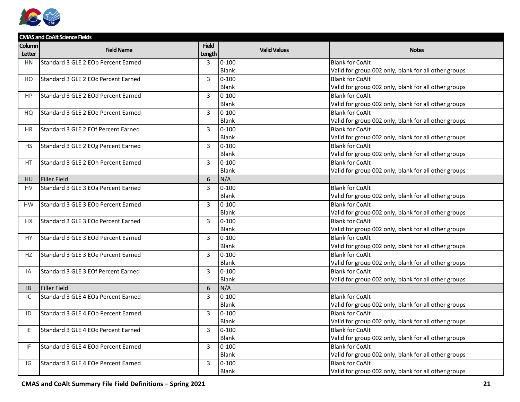

|           | <b>CMAS and CoAlt Science Fields</b> |                |                     |                                                      |
|-----------|--------------------------------------|----------------|---------------------|------------------------------------------------------|
| Column    | <b>Field Name</b>                    | <b>Field</b>   | <b>Valid Values</b> | <b>Notes</b>                                         |
| Letter    |                                      | Length         |                     |                                                      |
| <b>HN</b> | Standard 3 GLE 2 EOb Percent Earned  | $\overline{3}$ | $0 - 100$           | <b>Blank for CoAlt</b>                               |
|           |                                      |                | <b>Blank</b>        | Valid for group 002 only, blank for all other groups |
| HO        | Standard 3 GLE 2 EOc Percent Earned  | $\overline{3}$ | $0 - 100$           | <b>Blank for CoAlt</b>                               |
|           |                                      |                | Blank               | Valid for group 002 only, blank for all other groups |
| HP        | Standard 3 GLE 2 EOd Percent Earned  | $\overline{3}$ | $0 - 100$           | <b>Blank for CoAlt</b>                               |
|           |                                      |                | <b>Blank</b>        | Valid for group 002 only, blank for all other groups |
| HQ        | Standard 3 GLE 2 EOe Percent Earned  | 3              | $0 - 100$           | <b>Blank for CoAlt</b>                               |
|           |                                      |                | <b>Blank</b>        | Valid for group 002 only, blank for all other groups |
| <b>HR</b> | Standard 3 GLE 2 EOf Percent Earned  | $\overline{3}$ | $0 - 100$           | <b>Blank for CoAlt</b>                               |
|           |                                      |                | Blank               | Valid for group 002 only, blank for all other groups |
| HS        | Standard 3 GLE 2 EOg Percent Earned  | 3              | $0 - 100$           | <b>Blank for CoAlt</b>                               |
|           |                                      |                | <b>Blank</b>        | Valid for group 002 only, blank for all other groups |
| HT        | Standard 3 GLE 2 EOh Percent Earned  | 3              | $0 - 100$           | <b>Blank for CoAlt</b>                               |
|           |                                      |                | <b>Blank</b>        | Valid for group 002 only, blank for all other groups |
| <b>HU</b> | <b>Filler Field</b>                  | 6              | N/A                 |                                                      |
| <b>HV</b> | Standard 3 GLE 3 EOa Percent Earned  | $\overline{3}$ | $0 - 100$           | <b>Blank for CoAlt</b>                               |
|           |                                      |                | <b>Blank</b>        | Valid for group 002 only, blank for all other groups |
| <b>HW</b> | Standard 3 GLE 3 EOb Percent Earned  | 3              | $0 - 100$           | <b>Blank for CoAlt</b>                               |
|           |                                      |                | Blank               | Valid for group 002 only, blank for all other groups |
| <b>HX</b> | Standard 3 GLE 3 EOc Percent Earned  | 3              | $0 - 100$           | <b>Blank for CoAlt</b>                               |
|           |                                      |                | Blank               | Valid for group 002 only, blank for all other groups |
| HY        | Standard 3 GLE 3 EOd Percent Earned  | 3              | $0 - 100$           | <b>Blank for CoAlt</b>                               |
|           |                                      |                | <b>Blank</b>        | Valid for group 002 only, blank for all other groups |
| HZ        | Standard 3 GLE 3 EOe Percent Earned  | $\overline{3}$ | $0 - 100$           | <b>Blank for CoAlt</b>                               |
|           |                                      |                | <b>Blank</b>        | Valid for group 002 only, blank for all other groups |
| IA        | Standard 3 GLE 3 EOf Percent Earned  | 3              | $0 - 100$           | <b>Blank for CoAlt</b>                               |
|           |                                      |                | Blank               | Valid for group 002 only, blank for all other groups |
| <b>IB</b> | <b>Filler Field</b>                  | 6              | N/A                 |                                                      |
| IC        | Standard 3 GLE 4 EOa Percent Earned  | 3              | $0 - 100$           | <b>Blank for CoAlt</b>                               |
|           |                                      |                | <b>Blank</b>        | Valid for group 002 only, blank for all other groups |
| ID        | Standard 3 GLE 4 EOb Percent Earned  | $\overline{3}$ | $0 - 100$           | <b>Blank for CoAlt</b>                               |
|           |                                      |                | Blank               | Valid for group 002 only, blank for all other groups |
| IE        | Standard 3 GLE 4 EOc Percent Earned  | $\overline{3}$ | $0 - 100$           | <b>Blank for CoAlt</b>                               |
|           |                                      |                | <b>Blank</b>        | Valid for group 002 only, blank for all other groups |
| IF.       | Standard 3 GLE 4 EOd Percent Earned  | 3              | $0 - 100$           | <b>Blank for CoAlt</b>                               |
|           |                                      |                | <b>Blank</b>        | Valid for group 002 only, blank for all other groups |
| IG        | Standard 3 GLE 4 EOe Percent Earned  | 3              | $0 - 100$           | <b>Blank for CoAlt</b>                               |
|           |                                      |                | <b>Blank</b>        | Valid for group 002 only, blank for all other groups |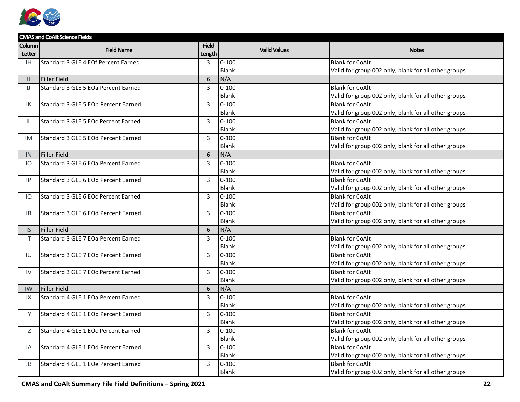

|               | <b>CMAS and CoAlt Science Fields</b> |                |                     |                                                      |  |  |  |
|---------------|--------------------------------------|----------------|---------------------|------------------------------------------------------|--|--|--|
| Column        | <b>Field Name</b>                    | <b>Field</b>   | <b>Valid Values</b> | <b>Notes</b>                                         |  |  |  |
| Letter        |                                      | Length         |                     |                                                      |  |  |  |
| <b>IH</b>     | Standard 3 GLE 4 EOf Percent Earned  | 3              | $0 - 100$           | <b>Blank for CoAlt</b>                               |  |  |  |
|               |                                      |                | <b>Blank</b>        | Valid for group 002 only, blank for all other groups |  |  |  |
| $\mathbf{II}$ | <b>Filler Field</b>                  | 6              | N/A                 |                                                      |  |  |  |
| $\mathsf{U}$  | Standard 3 GLE 5 EOa Percent Earned  | 3              | $0 - 100$           | <b>Blank for CoAlt</b>                               |  |  |  |
|               |                                      |                | <b>Blank</b>        | Valid for group 002 only, blank for all other groups |  |  |  |
| ΙK            | Standard 3 GLE 5 EOb Percent Earned  | 3              | $0 - 100$           | <b>Blank for CoAlt</b>                               |  |  |  |
|               |                                      |                | <b>Blank</b>        | Valid for group 002 only, blank for all other groups |  |  |  |
| IL.           | Standard 3 GLE 5 EOc Percent Earned  | 3              | $0 - 100$           | <b>Blank for CoAlt</b>                               |  |  |  |
|               |                                      |                | Blank               | Valid for group 002 only, blank for all other groups |  |  |  |
| IM            | Standard 3 GLE 5 EOd Percent Earned  | 3              | $0 - 100$           | <b>Blank for CoAlt</b>                               |  |  |  |
|               |                                      |                | <b>Blank</b>        | Valid for group 002 only, blank for all other groups |  |  |  |
| IN.           | <b>Filler Field</b>                  | 6              | N/A                 |                                                      |  |  |  |
| IO            | Standard 3 GLE 6 EOa Percent Earned  | 3              | $0 - 100$           | <b>Blank for CoAlt</b>                               |  |  |  |
|               |                                      |                | <b>Blank</b>        | Valid for group 002 only, blank for all other groups |  |  |  |
| IP            | Standard 3 GLE 6 EOb Percent Earned  | $\overline{3}$ | $0 - 100$           | <b>Blank for CoAlt</b>                               |  |  |  |
|               |                                      |                | <b>Blank</b>        | Valid for group 002 only, blank for all other groups |  |  |  |
| IQ            | Standard 3 GLE 6 EOc Percent Earned  | $\overline{3}$ | $0 - 100$           | <b>Blank for CoAlt</b>                               |  |  |  |
|               |                                      |                | <b>Blank</b>        | Valid for group 002 only, blank for all other groups |  |  |  |
| IR.           | Standard 3 GLE 6 EOd Percent Earned  | 3              | $0 - 100$           | <b>Blank for CoAlt</b>                               |  |  |  |
|               |                                      |                | Blank               | Valid for group 002 only, blank for all other groups |  |  |  |
| IS.           | <b>Filler Field</b>                  | 6              | N/A                 |                                                      |  |  |  |
| IT            | Standard 3 GLE 7 EOa Percent Earned  | 3              | $0 - 100$           | <b>Blank for CoAlt</b>                               |  |  |  |
|               |                                      |                | <b>Blank</b>        | Valid for group 002 only, blank for all other groups |  |  |  |
| IU            | Standard 3 GLE 7 EOb Percent Earned  | 3              | $0 - 100$           | <b>Blank for CoAlt</b>                               |  |  |  |
|               |                                      |                | Blank               | Valid for group 002 only, blank for all other groups |  |  |  |
| IV            | Standard 3 GLE 7 EOc Percent Earned  | 3              | $0 - 100$           | <b>Blank for CoAlt</b>                               |  |  |  |
|               |                                      |                | <b>Blank</b>        | Valid for group 002 only, blank for all other groups |  |  |  |
| IW            | <b>Filler Field</b>                  | 6              | N/A                 |                                                      |  |  |  |
| IX            | Standard 4 GLE 1 EOa Percent Earned  | 3              | $0 - 100$           | <b>Blank for CoAlt</b>                               |  |  |  |
|               |                                      |                | Blank               | Valid for group 002 only, blank for all other groups |  |  |  |
| IY            | Standard 4 GLE 1 EOb Percent Earned  | 3              | $0 - 100$           | <b>Blank for CoAlt</b>                               |  |  |  |
|               |                                      |                | Blank               | Valid for group 002 only, blank for all other groups |  |  |  |
| IZ            | Standard 4 GLE 1 EOc Percent Earned  | 3              | $0 - 100$           | <b>Blank for CoAlt</b>                               |  |  |  |
|               |                                      |                | <b>Blank</b>        | Valid for group 002 only, blank for all other groups |  |  |  |
| JA            | Standard 4 GLE 1 EOd Percent Earned  | 3              | $0 - 100$           | <b>Blank for CoAlt</b>                               |  |  |  |
|               |                                      |                | Blank               | Valid for group 002 only, blank for all other groups |  |  |  |
| JB            | Standard 4 GLE 1 EOe Percent Earned  | 3              | $0 - 100$           | <b>Blank for CoAlt</b>                               |  |  |  |
|               |                                      |                | <b>Blank</b>        | Valid for group 002 only, blank for all other groups |  |  |  |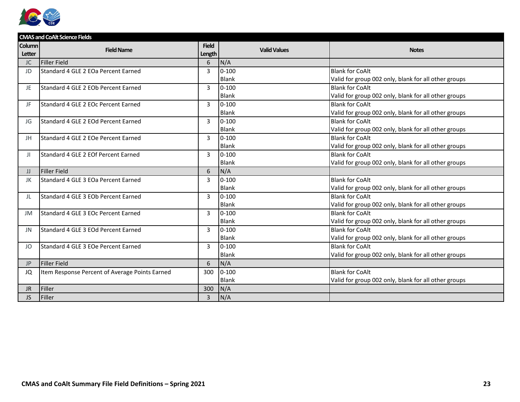

|               | <b>CMAS and CoAlt Science Fields</b>           |                |                     |                                                      |
|---------------|------------------------------------------------|----------------|---------------------|------------------------------------------------------|
| <b>Column</b> | <b>Field Name</b>                              | <b>Field</b>   | <b>Valid Values</b> | <b>Notes</b>                                         |
| Letter        |                                                | Length         |                     |                                                      |
| <b>JC</b>     | <b>Filler Field</b>                            | 6              | N/A                 |                                                      |
| JD            | Standard 4 GLE 2 EOa Percent Earned            | 3              | $0 - 100$           | <b>Blank for CoAlt</b>                               |
|               |                                                |                | Blank               | Valid for group 002 only, blank for all other groups |
| JE.           | Standard 4 GLE 2 EOb Percent Earned            | 3              | $0 - 100$           | <b>Blank for CoAlt</b>                               |
|               |                                                |                | Blank               | Valid for group 002 only, blank for all other groups |
| JF.           | Standard 4 GLE 2 EOc Percent Earned            | 3              | $0 - 100$           | <b>Blank for CoAlt</b>                               |
|               |                                                |                | <b>Blank</b>        | Valid for group 002 only, blank for all other groups |
| JG            | Standard 4 GLE 2 EOd Percent Earned            | 3              | $0 - 100$           | <b>Blank for CoAlt</b>                               |
|               |                                                |                | <b>Blank</b>        | Valid for group 002 only, blank for all other groups |
| JH            | Standard 4 GLE 2 EOe Percent Earned            | 3              | $0 - 100$           | <b>Blank for CoAlt</b>                               |
|               |                                                |                | Blank               | Valid for group 002 only, blank for all other groups |
| Ш             | Standard 4 GLE 2 EOf Percent Earned            | 3              | $0 - 100$           | <b>Blank for CoAlt</b>                               |
|               |                                                |                | Blank               | Valid for group 002 only, blank for all other groups |
| JJ            | <b>Filler Field</b>                            | 6              | N/A                 |                                                      |
| JK            | Standard 4 GLE 3 EOa Percent Earned            | 3              | $0 - 100$           | <b>Blank for CoAlt</b>                               |
|               |                                                |                | Blank               | Valid for group 002 only, blank for all other groups |
| JL            | Standard 4 GLE 3 EOb Percent Earned            | 3              | $0 - 100$           | <b>Blank for CoAlt</b>                               |
|               |                                                |                | <b>Blank</b>        | Valid for group 002 only, blank for all other groups |
| JM            | Standard 4 GLE 3 EOc Percent Earned            | $\overline{3}$ | $0 - 100$           | <b>Blank for CoAlt</b>                               |
|               |                                                |                | Blank               | Valid for group 002 only, blank for all other groups |
| <b>JN</b>     | Standard 4 GLE 3 EOd Percent Earned            | 3              | $0 - 100$           | <b>Blank for CoAlt</b>                               |
|               |                                                |                | Blank               | Valid for group 002 only, blank for all other groups |
| JO            | Standard 4 GLE 3 EOe Percent Earned            | 3              | $0 - 100$           | <b>Blank for CoAlt</b>                               |
|               |                                                |                | <b>Blank</b>        | Valid for group 002 only, blank for all other groups |
| <b>JP</b>     | <b>Filler Field</b>                            | 6              | N/A                 |                                                      |
| JQ            | Item Response Percent of Average Points Earned | 300            | $0 - 100$           | <b>Blank for CoAlt</b>                               |
|               |                                                |                | <b>Blank</b>        | Valid for group 002 only, blank for all other groups |
| JR            | Filler                                         | 300            | N/A                 |                                                      |
| JS.           | Filler                                         | $\overline{3}$ | N/A                 |                                                      |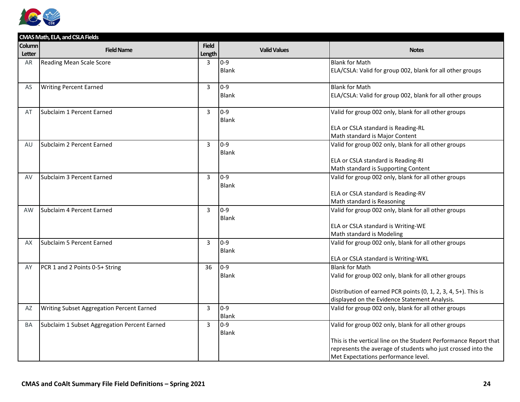

| <b>Notes</b>                                                                                                                                                                                                                                                                                                                                                                                                                                                                                                                                                                                                                                                                                                                                                                                                                                                                                                                                               |
|------------------------------------------------------------------------------------------------------------------------------------------------------------------------------------------------------------------------------------------------------------------------------------------------------------------------------------------------------------------------------------------------------------------------------------------------------------------------------------------------------------------------------------------------------------------------------------------------------------------------------------------------------------------------------------------------------------------------------------------------------------------------------------------------------------------------------------------------------------------------------------------------------------------------------------------------------------|
|                                                                                                                                                                                                                                                                                                                                                                                                                                                                                                                                                                                                                                                                                                                                                                                                                                                                                                                                                            |
|                                                                                                                                                                                                                                                                                                                                                                                                                                                                                                                                                                                                                                                                                                                                                                                                                                                                                                                                                            |
|                                                                                                                                                                                                                                                                                                                                                                                                                                                                                                                                                                                                                                                                                                                                                                                                                                                                                                                                                            |
| ELA/CSLA: Valid for group 002, blank for all other groups                                                                                                                                                                                                                                                                                                                                                                                                                                                                                                                                                                                                                                                                                                                                                                                                                                                                                                  |
|                                                                                                                                                                                                                                                                                                                                                                                                                                                                                                                                                                                                                                                                                                                                                                                                                                                                                                                                                            |
|                                                                                                                                                                                                                                                                                                                                                                                                                                                                                                                                                                                                                                                                                                                                                                                                                                                                                                                                                            |
|                                                                                                                                                                                                                                                                                                                                                                                                                                                                                                                                                                                                                                                                                                                                                                                                                                                                                                                                                            |
|                                                                                                                                                                                                                                                                                                                                                                                                                                                                                                                                                                                                                                                                                                                                                                                                                                                                                                                                                            |
|                                                                                                                                                                                                                                                                                                                                                                                                                                                                                                                                                                                                                                                                                                                                                                                                                                                                                                                                                            |
|                                                                                                                                                                                                                                                                                                                                                                                                                                                                                                                                                                                                                                                                                                                                                                                                                                                                                                                                                            |
|                                                                                                                                                                                                                                                                                                                                                                                                                                                                                                                                                                                                                                                                                                                                                                                                                                                                                                                                                            |
|                                                                                                                                                                                                                                                                                                                                                                                                                                                                                                                                                                                                                                                                                                                                                                                                                                                                                                                                                            |
|                                                                                                                                                                                                                                                                                                                                                                                                                                                                                                                                                                                                                                                                                                                                                                                                                                                                                                                                                            |
|                                                                                                                                                                                                                                                                                                                                                                                                                                                                                                                                                                                                                                                                                                                                                                                                                                                                                                                                                            |
|                                                                                                                                                                                                                                                                                                                                                                                                                                                                                                                                                                                                                                                                                                                                                                                                                                                                                                                                                            |
|                                                                                                                                                                                                                                                                                                                                                                                                                                                                                                                                                                                                                                                                                                                                                                                                                                                                                                                                                            |
|                                                                                                                                                                                                                                                                                                                                                                                                                                                                                                                                                                                                                                                                                                                                                                                                                                                                                                                                                            |
|                                                                                                                                                                                                                                                                                                                                                                                                                                                                                                                                                                                                                                                                                                                                                                                                                                                                                                                                                            |
|                                                                                                                                                                                                                                                                                                                                                                                                                                                                                                                                                                                                                                                                                                                                                                                                                                                                                                                                                            |
|                                                                                                                                                                                                                                                                                                                                                                                                                                                                                                                                                                                                                                                                                                                                                                                                                                                                                                                                                            |
|                                                                                                                                                                                                                                                                                                                                                                                                                                                                                                                                                                                                                                                                                                                                                                                                                                                                                                                                                            |
| ELA or CSLA standard is Writing-WE                                                                                                                                                                                                                                                                                                                                                                                                                                                                                                                                                                                                                                                                                                                                                                                                                                                                                                                         |
|                                                                                                                                                                                                                                                                                                                                                                                                                                                                                                                                                                                                                                                                                                                                                                                                                                                                                                                                                            |
| Valid for group 002 only, blank for all other groups                                                                                                                                                                                                                                                                                                                                                                                                                                                                                                                                                                                                                                                                                                                                                                                                                                                                                                       |
|                                                                                                                                                                                                                                                                                                                                                                                                                                                                                                                                                                                                                                                                                                                                                                                                                                                                                                                                                            |
| ELA or CSLA standard is Writing-WKL                                                                                                                                                                                                                                                                                                                                                                                                                                                                                                                                                                                                                                                                                                                                                                                                                                                                                                                        |
|                                                                                                                                                                                                                                                                                                                                                                                                                                                                                                                                                                                                                                                                                                                                                                                                                                                                                                                                                            |
|                                                                                                                                                                                                                                                                                                                                                                                                                                                                                                                                                                                                                                                                                                                                                                                                                                                                                                                                                            |
|                                                                                                                                                                                                                                                                                                                                                                                                                                                                                                                                                                                                                                                                                                                                                                                                                                                                                                                                                            |
|                                                                                                                                                                                                                                                                                                                                                                                                                                                                                                                                                                                                                                                                                                                                                                                                                                                                                                                                                            |
|                                                                                                                                                                                                                                                                                                                                                                                                                                                                                                                                                                                                                                                                                                                                                                                                                                                                                                                                                            |
|                                                                                                                                                                                                                                                                                                                                                                                                                                                                                                                                                                                                                                                                                                                                                                                                                                                                                                                                                            |
|                                                                                                                                                                                                                                                                                                                                                                                                                                                                                                                                                                                                                                                                                                                                                                                                                                                                                                                                                            |
|                                                                                                                                                                                                                                                                                                                                                                                                                                                                                                                                                                                                                                                                                                                                                                                                                                                                                                                                                            |
|                                                                                                                                                                                                                                                                                                                                                                                                                                                                                                                                                                                                                                                                                                                                                                                                                                                                                                                                                            |
|                                                                                                                                                                                                                                                                                                                                                                                                                                                                                                                                                                                                                                                                                                                                                                                                                                                                                                                                                            |
|                                                                                                                                                                                                                                                                                                                                                                                                                                                                                                                                                                                                                                                                                                                                                                                                                                                                                                                                                            |
| ELA/CSLA: Valid for group 002, blank for all other groups<br>Valid for group 002 only, blank for all other groups<br>ELA or CSLA standard is Reading-RL<br>Math standard is Major Content<br>Valid for group 002 only, blank for all other groups<br>ELA or CSLA standard is Reading-RI<br>Math standard is Supporting Content<br>Valid for group 002 only, blank for all other groups<br>ELA or CSLA standard is Reading-RV<br>Valid for group 002 only, blank for all other groups<br>Valid for group 002 only, blank for all other groups<br>Distribution of earned PCR points (0, 1, 2, 3, 4, 5+). This is<br>displayed on the Evidence Statement Analysis.<br>Valid for group 002 only, blank for all other groups<br>Valid for group 002 only, blank for all other groups<br>This is the vertical line on the Student Performance Report that<br>represents the average of students who just crossed into the<br>Met Expectations performance level. |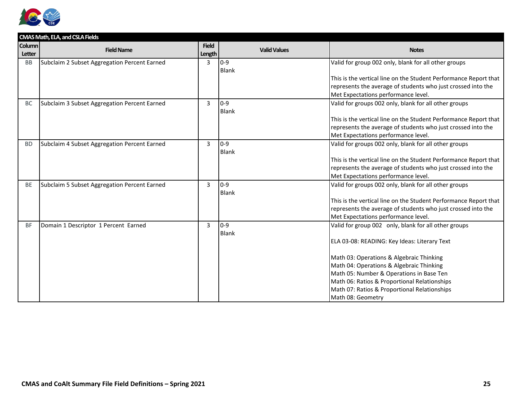

|               | CMAS Math, ELA, and CSLA Fields              |                |                     |                                                                  |  |  |
|---------------|----------------------------------------------|----------------|---------------------|------------------------------------------------------------------|--|--|
| <b>Column</b> | <b>Field Name</b>                            | <b>Field</b>   | <b>Valid Values</b> | <b>Notes</b>                                                     |  |  |
| Letter        |                                              | Length         |                     |                                                                  |  |  |
| BB            | Subclaim 2 Subset Aggregation Percent Earned | 3              | $0 - 9$             | Valid for group 002 only, blank for all other groups             |  |  |
|               |                                              |                | <b>Blank</b>        |                                                                  |  |  |
|               |                                              |                |                     | This is the vertical line on the Student Performance Report that |  |  |
|               |                                              |                |                     | represents the average of students who just crossed into the     |  |  |
|               |                                              |                |                     | Met Expectations performance level.                              |  |  |
| <b>BC</b>     | Subclaim 3 Subset Aggregation Percent Earned | $\overline{3}$ | $0-9$               | Valid for groups 002 only, blank for all other groups            |  |  |
|               |                                              |                | <b>Blank</b>        |                                                                  |  |  |
|               |                                              |                |                     | This is the vertical line on the Student Performance Report that |  |  |
|               |                                              |                |                     | represents the average of students who just crossed into the     |  |  |
|               |                                              |                |                     | Met Expectations performance level.                              |  |  |
| <b>BD</b>     | Subclaim 4 Subset Aggregation Percent Earned | $\overline{3}$ | $0-9$               | Valid for groups 002 only, blank for all other groups            |  |  |
|               |                                              |                | <b>Blank</b>        |                                                                  |  |  |
|               |                                              |                |                     | This is the vertical line on the Student Performance Report that |  |  |
|               |                                              |                |                     | represents the average of students who just crossed into the     |  |  |
|               |                                              |                |                     | Met Expectations performance level.                              |  |  |
| <b>BE</b>     | Subclaim 5 Subset Aggregation Percent Earned | 3              | $0 - 9$             | Valid for groups 002 only, blank for all other groups            |  |  |
|               |                                              |                | <b>Blank</b>        |                                                                  |  |  |
|               |                                              |                |                     | This is the vertical line on the Student Performance Report that |  |  |
|               |                                              |                |                     | represents the average of students who just crossed into the     |  |  |
|               |                                              |                |                     | Met Expectations performance level.                              |  |  |
| <b>BF</b>     | Domain 1 Descriptor 1 Percent Earned         | $\mathbf{3}$   | $0-9$               | Valid for group 002 only, blank for all other groups             |  |  |
|               |                                              |                | <b>Blank</b>        |                                                                  |  |  |
|               |                                              |                |                     | ELA 03-08: READING: Key Ideas: Literary Text                     |  |  |
|               |                                              |                |                     |                                                                  |  |  |
|               |                                              |                |                     | Math 03: Operations & Algebraic Thinking                         |  |  |
|               |                                              |                |                     | Math 04: Operations & Algebraic Thinking                         |  |  |
|               |                                              |                |                     | Math 05: Number & Operations in Base Ten                         |  |  |
|               |                                              |                |                     | Math 06: Ratios & Proportional Relationships                     |  |  |
|               |                                              |                |                     | Math 07: Ratios & Proportional Relationships                     |  |  |
|               |                                              |                |                     | Math 08: Geometry                                                |  |  |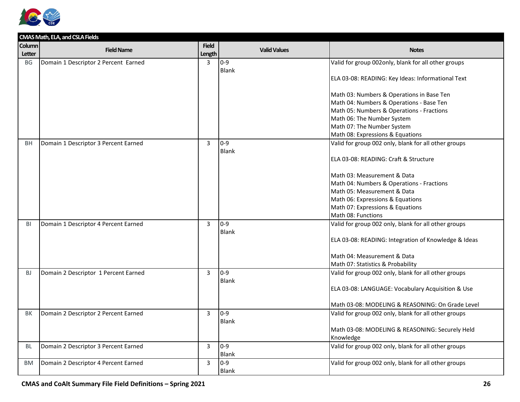

| CMAS Math, ELA, and CSLA Fields |                                      |              |                     |                                                      |  |
|---------------------------------|--------------------------------------|--------------|---------------------|------------------------------------------------------|--|
| Column                          | <b>Field Name</b>                    | <b>Field</b> | <b>Valid Values</b> | <b>Notes</b>                                         |  |
| Letter                          |                                      | Length       |                     |                                                      |  |
| BG                              | Domain 1 Descriptor 2 Percent Earned | 3            | $0 - 9$             | Valid for group 002only, blank for all other groups  |  |
|                                 |                                      |              | <b>Blank</b>        |                                                      |  |
|                                 |                                      |              |                     | ELA 03-08: READING: Key Ideas: Informational Text    |  |
|                                 |                                      |              |                     |                                                      |  |
|                                 |                                      |              |                     | Math 03: Numbers & Operations in Base Ten            |  |
|                                 |                                      |              |                     | Math 04: Numbers & Operations - Base Ten             |  |
|                                 |                                      |              |                     | Math 05: Numbers & Operations - Fractions            |  |
|                                 |                                      |              |                     | Math 06: The Number System                           |  |
|                                 |                                      |              |                     | Math 07: The Number System                           |  |
|                                 |                                      |              |                     | Math 08: Expressions & Equations                     |  |
| <b>BH</b>                       | Domain 1 Descriptor 3 Percent Earned | 3            | $0 - 9$             | Valid for group 002 only, blank for all other groups |  |
|                                 |                                      |              | <b>Blank</b>        |                                                      |  |
|                                 |                                      |              |                     | ELA 03-08: READING: Craft & Structure                |  |
|                                 |                                      |              |                     |                                                      |  |
|                                 |                                      |              |                     | Math 03: Measurement & Data                          |  |
|                                 |                                      |              |                     | Math 04: Numbers & Operations - Fractions            |  |
|                                 |                                      |              |                     | Math 05: Measurement & Data                          |  |
|                                 |                                      |              |                     | Math 06: Expressions & Equations                     |  |
|                                 |                                      |              |                     | Math 07: Expressions & Equations                     |  |
|                                 |                                      |              |                     | Math 08: Functions                                   |  |
| BI                              | Domain 1 Descriptor 4 Percent Earned | 3            | $0-9$               | Valid for group 002 only, blank for all other groups |  |
|                                 |                                      |              | Blank               |                                                      |  |
|                                 |                                      |              |                     | ELA 03-08: READING: Integration of Knowledge & Ideas |  |
|                                 |                                      |              |                     |                                                      |  |
|                                 |                                      |              |                     | Math 04: Measurement & Data                          |  |
|                                 |                                      |              |                     | Math 07: Statistics & Probability                    |  |
| <b>BJ</b>                       | Domain 2 Descriptor 1 Percent Earned | 3            | $0 - 9$             | Valid for group 002 only, blank for all other groups |  |
|                                 |                                      |              | Blank               |                                                      |  |
|                                 |                                      |              |                     | ELA 03-08: LANGUAGE: Vocabulary Acquisition & Use    |  |
|                                 |                                      |              |                     |                                                      |  |
|                                 |                                      |              |                     | Math 03-08: MODELING & REASONING: On Grade Level     |  |
| <b>BK</b>                       | Domain 2 Descriptor 2 Percent Earned | 3            | $0-9$               | Valid for group 002 only, blank for all other groups |  |
|                                 |                                      |              | <b>Blank</b>        |                                                      |  |
|                                 |                                      |              |                     | Math 03-08: MODELING & REASONING: Securely Held      |  |
|                                 |                                      |              |                     | Knowledge                                            |  |
| BL                              | Domain 2 Descriptor 3 Percent Earned | 3            | $0 - 9$             | Valid for group 002 only, blank for all other groups |  |
|                                 |                                      |              | Blank               |                                                      |  |
| BM                              | Domain 2 Descriptor 4 Percent Earned | 3            | $0 - 9$             | Valid for group 002 only, blank for all other groups |  |
|                                 |                                      |              | <b>Blank</b>        |                                                      |  |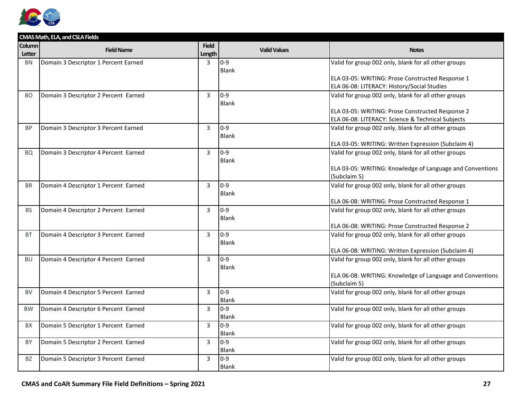

|           | CMAS Math, ELA, and CSLA Fields      |                |                     |                                                           |
|-----------|--------------------------------------|----------------|---------------------|-----------------------------------------------------------|
| Column    | <b>Field Name</b>                    | <b>Field</b>   | <b>Valid Values</b> | <b>Notes</b>                                              |
| Letter    |                                      | Length         |                     |                                                           |
| <b>BN</b> | Domain 3 Descriptor 1 Percent Earned | $\mathbf{3}$   | $0 - 9$             | Valid for group 002 only, blank for all other groups      |
|           |                                      |                | Blank               |                                                           |
|           |                                      |                |                     | ELA 03-05: WRITING: Prose Constructed Response 1          |
|           |                                      |                |                     | ELA 06-08: LITERACY: History/Social Studies               |
| BO.       | Domain 3 Descriptor 2 Percent Earned | $\overline{3}$ | $0 - 9$             | Valid for group 002 only, blank for all other groups      |
|           |                                      |                | Blank               |                                                           |
|           |                                      |                |                     | ELA 03-05: WRITING: Prose Constructed Response 2          |
|           |                                      |                |                     | ELA 06-08: LITERACY: Science & Technical Subjects         |
| <b>BP</b> | Domain 3 Descriptor 3 Percent Earned | $\overline{3}$ | $0 - 9$             | Valid for group 002 only, blank for all other groups      |
|           |                                      |                | <b>Blank</b>        |                                                           |
|           |                                      |                |                     | ELA 03-05: WRITING: Written Expression (Subclaim 4)       |
| BQ        | Domain 3 Descriptor 4 Percent Earned | 3              | $0 - 9$             | Valid for group 002 only, blank for all other groups      |
|           |                                      |                | <b>Blank</b>        |                                                           |
|           |                                      |                |                     | ELA 03-05: WRITING: Knowledge of Language and Conventions |
|           |                                      |                |                     | (Subclaim 5)                                              |
| <b>BR</b> | Domain 4 Descriptor 1 Percent Earned | $\mathbf{3}$   | $0 - 9$             | Valid for group 002 only, blank for all other groups      |
|           |                                      |                | Blank               |                                                           |
|           |                                      |                |                     | ELA 06-08: WRITING: Prose Constructed Response 1          |
| <b>BS</b> | Domain 4 Descriptor 2 Percent Earned | 3              | $0 - 9$             | Valid for group 002 only, blank for all other groups      |
|           |                                      |                | Blank               |                                                           |
|           |                                      |                |                     | ELA 06-08: WRITING: Prose Constructed Response 2          |
| <b>BT</b> | Domain 4 Descriptor 3 Percent Earned | $\overline{3}$ | $0 - 9$             | Valid for group 002 only, blank for all other groups      |
|           |                                      |                | Blank               |                                                           |
|           |                                      |                |                     | ELA 06-08: WRITING: Written Expression (Subclaim 4)       |
| <b>BU</b> | Domain 4 Descriptor 4 Percent Earned | $\overline{3}$ | $0-9$               | Valid for group 002 only, blank for all other groups      |
|           |                                      |                | Blank               |                                                           |
|           |                                      |                |                     | ELA 06-08: WRITING: Knowledge of Language and Conventions |
|           |                                      |                |                     | (Subclaim 5)                                              |
| <b>BV</b> | Domain 4 Descriptor 5 Percent Earned | 3              | $0 - 9$             | Valid for group 002 only, blank for all other groups      |
|           |                                      |                | Blank               |                                                           |
| <b>BW</b> | Domain 4 Descriptor 6 Percent Earned | 3              | $0 - 9$             | Valid for group 002 only, blank for all other groups      |
|           |                                      |                | <b>Blank</b>        |                                                           |
| <b>BX</b> | Domain 5 Descriptor 1 Percent Earned | $\overline{3}$ | $0 - 9$             | Valid for group 002 only, blank for all other groups      |
|           |                                      |                | Blank               |                                                           |
| BY        | Domain 5 Descriptor 2 Percent Earned | $\overline{3}$ | $0 - 9$             | Valid for group 002 only, blank for all other groups      |
|           |                                      |                | <b>Blank</b>        |                                                           |
| BZ        | Domain 5 Descriptor 3 Percent Earned | 3              | $0 - 9$             | Valid for group 002 only, blank for all other groups      |
|           |                                      |                | Blank               |                                                           |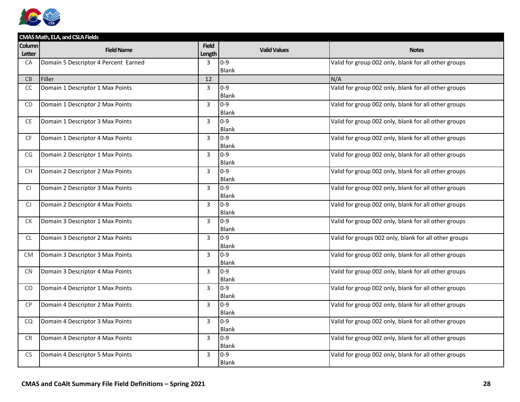

|                  | CMAS Math, ELA, and CSLA Fields      |                        |                         |                                                       |  |  |
|------------------|--------------------------------------|------------------------|-------------------------|-------------------------------------------------------|--|--|
| Column<br>Letter | <b>Field Name</b>                    | <b>Field</b><br>Length | <b>Valid Values</b>     | <b>Notes</b>                                          |  |  |
| CA               | Domain 5 Descriptor 4 Percent Earned | 3                      | $0 - 9$<br><b>Blank</b> | Valid for group 002 only, blank for all other groups  |  |  |
| CB               | Filler                               | 12                     |                         | N/A                                                   |  |  |
| <sub>CC</sub>    | Domain 1 Descriptor 1 Max Points     | 3                      | $0 - 9$<br><b>Blank</b> | Valid for group 002 only, blank for all other groups  |  |  |
| C <sub>D</sub>   | Domain 1 Descriptor 2 Max Points     | $\overline{3}$         | $0 - 9$<br><b>Blank</b> | Valid for group 002 only, blank for all other groups  |  |  |
| CE               | Domain 1 Descriptor 3 Max Points     | 3                      | $0 - 9$<br>Blank        | Valid for group 002 only, blank for all other groups  |  |  |
| <b>CF</b>        | Domain 1 Descriptor 4 Max Points     | 3                      | $0 - 9$<br>Blank        | Valid for group 002 only, blank for all other groups  |  |  |
| CG               | Domain 2 Descriptor 1 Max Points     | 3                      | $0 - 9$<br>Blank        | Valid for group 002 only, blank for all other groups  |  |  |
| <b>CH</b>        | Domain 2 Descriptor 2 Max Points     | 3                      | $0 - 9$<br><b>Blank</b> | Valid for group 002 only, blank for all other groups  |  |  |
| <b>CI</b>        | Domain 2 Descriptor 3 Max Points     | 3                      | $0 - 9$<br>Blank        | Valid for group 002 only, blank for all other groups  |  |  |
| CJ               | Domain 2 Descriptor 4 Max Points     | 3                      | $0 - 9$<br>Blank        | Valid for group 002 only, blank for all other groups  |  |  |
| СK               | Domain 3 Descriptor 1 Max Points     | 3                      | $0-9$<br><b>Blank</b>   | Valid for group 002 only, blank for all other groups  |  |  |
| <b>CL</b>        | Domain 3 Descriptor 2 Max Points     | $\overline{3}$         | $0 - 9$<br><b>Blank</b> | Valid for groups 002 only, blank for all other groups |  |  |
| <b>CM</b>        | Domain 3 Descriptor 3 Max Points     | 3                      | $0 - 9$<br><b>Blank</b> | Valid for group 002 only, blank for all other groups  |  |  |
| <b>CN</b>        | Domain 3 Descriptor 4 Max Points     | 3                      | $0-9$<br>Blank          | Valid for group 002 only, blank for all other groups  |  |  |
| CO.              | Domain 4 Descriptor 1 Max Points     | 3                      | $0 - 9$<br>Blank        | Valid for group 002 only, blank for all other groups  |  |  |
| <b>CP</b>        | Domain 4 Descriptor 2 Max Points     | $\mathbf{3}$           | $0 - 9$<br>Blank        | Valid for group 002 only, blank for all other groups  |  |  |
| CQ               | Domain 4 Descriptor 3 Max Points     | 3                      | $0 - 9$<br><b>Blank</b> | Valid for group 002 only, blank for all other groups  |  |  |
| <b>CR</b>        | Domain 4 Descriptor 4 Max Points     | 3                      | $0 - 9$<br>Blank        | Valid for group 002 only, blank for all other groups  |  |  |
| <b>CS</b>        | Domain 4 Descriptor 5 Max Points     | 3                      | $0 - 9$<br>Blank        | Valid for group 002 only, blank for all other groups  |  |  |